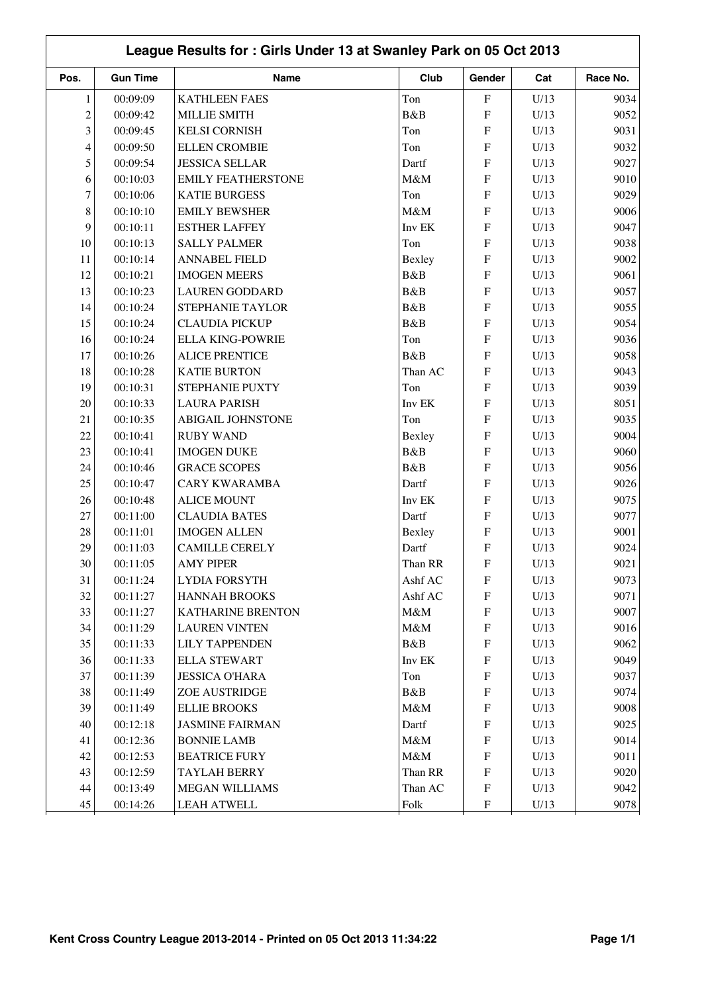|                |                 | League Results for: Girls Under 13 at Swanley Park on 05 Oct 2013 |         |                           |      |          |
|----------------|-----------------|-------------------------------------------------------------------|---------|---------------------------|------|----------|
| Pos.           | <b>Gun Time</b> | <b>Name</b>                                                       | Club    | Gender                    | Cat  | Race No. |
| $\mathbf{1}$   | 00:09:09        | <b>KATHLEEN FAES</b>                                              | Ton     | ${\bf F}$                 | U/13 | 9034     |
| $\overline{c}$ | 00:09:42        | <b>MILLIE SMITH</b>                                               | B&B     | $\boldsymbol{\mathrm{F}}$ | U/13 | 9052     |
| 3              | 00:09:45        | <b>KELSI CORNISH</b>                                              | Ton     | F                         | U/13 | 9031     |
| $\overline{4}$ | 00:09:50        | <b>ELLEN CROMBIE</b>                                              | Ton     | F                         | U/13 | 9032     |
| 5              | 00:09:54        | <b>JESSICA SELLAR</b>                                             | Dartf   | F                         | U/13 | 9027     |
| 6              | 00:10:03        | <b>EMILY FEATHERSTONE</b>                                         | M&M     | F                         | U/13 | 9010     |
| $\overline{7}$ | 00:10:06        | <b>KATIE BURGESS</b>                                              | Ton     | F                         | U/13 | 9029     |
| 8              | 00:10:10        | <b>EMILY BEWSHER</b>                                              | M&M     | F                         | U/13 | 9006     |
| 9              | 00:10:11        | <b>ESTHER LAFFEY</b>                                              | Inv EK  | F                         | U/13 | 9047     |
| 10             | 00:10:13        | <b>SALLY PALMER</b>                                               | Ton     | F                         | U/13 | 9038     |
| 11             | 00:10:14        | <b>ANNABEL FIELD</b>                                              | Bexley  | F                         | U/13 | 9002     |
| 12             | 00:10:21        | <b>IMOGEN MEERS</b>                                               | B&B     | F                         | U/13 | 9061     |
| 13             | 00:10:23        | <b>LAUREN GODDARD</b>                                             | B&B     | F                         | U/13 | 9057     |
| 14             | 00:10:24        | STEPHANIE TAYLOR                                                  | B&B     | F                         | U/13 | 9055     |
| 15             | 00:10:24        | <b>CLAUDIA PICKUP</b>                                             | B&B     | $\boldsymbol{\mathrm{F}}$ | U/13 | 9054     |
| 16             | 00:10:24        | <b>ELLA KING-POWRIE</b>                                           | Ton     | F                         | U/13 | 9036     |
| 17             | 00:10:26        | <b>ALICE PRENTICE</b>                                             | B&B     | ${\rm F}$                 | U/13 | 9058     |
| 18             | 00:10:28        | <b>KATIE BURTON</b>                                               | Than AC | ${\bf F}$                 | U/13 | 9043     |
| 19             | 00:10:31        | STEPHANIE PUXTY                                                   | Ton     | ${\rm F}$                 | U/13 | 9039     |
| 20             | 00:10:33        | <b>LAURA PARISH</b>                                               | Inv EK  | F                         | U/13 | 8051     |
| 21             | 00:10:35        | ABIGAIL JOHNSTONE                                                 | Ton     | F                         | U/13 | 9035     |
| 22             | 00:10:41        | <b>RUBY WAND</b>                                                  | Bexley  | ${\rm F}$                 | U/13 | 9004     |
| 23             | 00:10:41        | <b>IMOGEN DUKE</b>                                                | B&B     | $\boldsymbol{\mathrm{F}}$ | U/13 | 9060     |
| 24             | 00:10:46        | <b>GRACE SCOPES</b>                                               | B&B     | F                         | U/13 | 9056     |
| 25             | 00:10:47        | <b>CARY KWARAMBA</b>                                              | Dartf   | F                         | U/13 | 9026     |
| 26             | 00:10:48        | <b>ALICE MOUNT</b>                                                | Inv EK  | F                         | U/13 | 9075     |
| 27             | 00:11:00        | <b>CLAUDIA BATES</b>                                              | Dartf   | F                         | U/13 | 9077     |
| 28             | 00:11:01        | <b>IMOGEN ALLEN</b>                                               | Bexley  | ${\bf F}$                 | U/13 | 9001     |
| 29             | 00:11:03        | <b>CAMILLE CERELY</b>                                             | Dartf   | $\boldsymbol{\mathrm{F}}$ | U/13 | 9024     |
| 30             | 00:11:05        | <b>AMY PIPER</b>                                                  | Than RR | F                         | U/13 | 9021     |
| 31             | 00:11:24        | LYDIA FORSYTH                                                     | Ashf AC | F                         | U/13 | 9073     |
| 32             | 00:11:27        | <b>HANNAH BROOKS</b>                                              | Ashf AC | ${\bf F}$                 | U/13 | 9071     |
| 33             | 00:11:27        | KATHARINE BRENTON                                                 | $M\&M$  | ${\bf F}$                 | U/13 | 9007     |
| 34             | 00:11:29        | <b>LAUREN VINTEN</b>                                              | M&M     | $\boldsymbol{\mathrm{F}}$ | U/13 | 9016     |
| 35             | 00:11:33        | <b>LILY TAPPENDEN</b>                                             | B&B     | ${\rm F}$                 | U/13 | 9062     |
| 36             | 00:11:33        | <b>ELLA STEWART</b>                                               | Inv EK  | F                         | U/13 | 9049     |
| 37             | 00:11:39        | <b>JESSICA O'HARA</b>                                             | Ton     | F                         | U/13 | 9037     |
| 38             | 00:11:49        | ZOE AUSTRIDGE                                                     | B&B     | $\boldsymbol{\mathrm{F}}$ | U/13 | 9074     |
| 39             | 00:11:49        | <b>ELLIE BROOKS</b>                                               | M&M     | ${\bf F}$                 | U/13 | 9008     |
| 40             | 00:12:18        | <b>JASMINE FAIRMAN</b>                                            | Dartf   | F                         | U/13 | 9025     |
| 41             | 00:12:36        | <b>BONNIE LAMB</b>                                                | M&M     | F                         | U/13 | 9014     |
| 42             | 00:12:53        | <b>BEATRICE FURY</b>                                              | M&M     | ${\bf F}$                 | U/13 | 9011     |
| 43             | 00:12:59        | <b>TAYLAH BERRY</b>                                               | Than RR | F                         | U/13 | 9020     |
| 44             | 00:13:49        | MEGAN WILLIAMS                                                    | Than AC | ${\bf F}$                 | U/13 | 9042     |
| 45             | 00:14:26        | <b>LEAH ATWELL</b>                                                | Folk    | $\boldsymbol{\mathrm{F}}$ | U/13 | 9078     |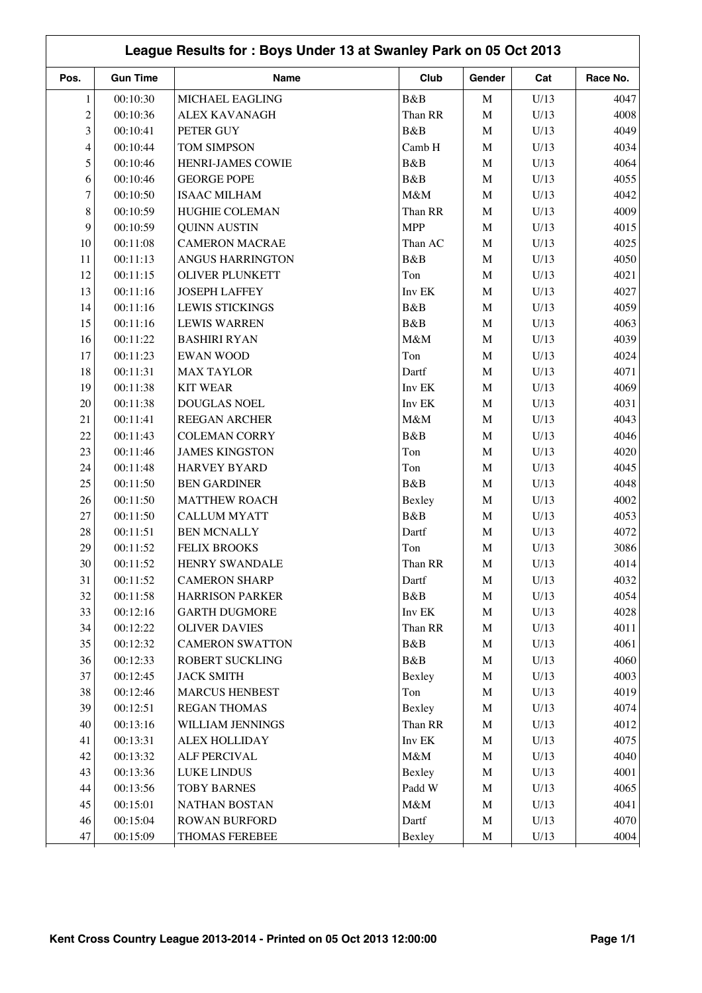|                | League Results for: Boys Under 13 at Swanley Park on 05 Oct 2013 |                        |            |             |      |          |  |
|----------------|------------------------------------------------------------------|------------------------|------------|-------------|------|----------|--|
| Pos.           | <b>Gun Time</b>                                                  | Name                   | Club       | Gender      | Cat  | Race No. |  |
| 1              | 00:10:30                                                         | MICHAEL EAGLING        | B&B        | $\mathbf M$ | U/13 | 4047     |  |
| $\overline{c}$ | 00:10:36                                                         | <b>ALEX KAVANAGH</b>   | Than RR    | $\mathbf M$ | U/13 | 4008     |  |
| 3              | 00:10:41                                                         | PETER GUY              | B&B        | $\mathbf M$ | U/13 | 4049     |  |
| $\overline{4}$ | 00:10:44                                                         | TOM SIMPSON            | Camb H     | $\mathbf M$ | U/13 | 4034     |  |
| 5              | 00:10:46                                                         | HENRI-JAMES COWIE      | B&B        | $\mathbf M$ | U/13 | 4064     |  |
| 6              | 00:10:46                                                         | <b>GEORGE POPE</b>     | B&B        | $\mathbf M$ | U/13 | 4055     |  |
| $\tau$         | 00:10:50                                                         | <b>ISAAC MILHAM</b>    | M&M        | $\mathbf M$ | U/13 | 4042     |  |
| 8              | 00:10:59                                                         | <b>HUGHIE COLEMAN</b>  | Than RR    | $\mathbf M$ | U/13 | 4009     |  |
| 9              | 00:10:59                                                         | <b>QUINN AUSTIN</b>    | <b>MPP</b> | $\mathbf M$ | U/13 | 4015     |  |
| 10             | 00:11:08                                                         | <b>CAMERON MACRAE</b>  | Than AC    | $\mathbf M$ | U/13 | 4025     |  |
| 11             | 00:11:13                                                         | ANGUS HARRINGTON       | B&B        | $\mathbf M$ | U/13 | 4050     |  |
| 12             | 00:11:15                                                         | OLIVER PLUNKETT        | Ton        | $\mathbf M$ | U/13 | 4021     |  |
| 13             | 00:11:16                                                         | <b>JOSEPH LAFFEY</b>   | Inv EK     | $\mathbf M$ | U/13 | 4027     |  |
| 14             | 00:11:16                                                         | <b>LEWIS STICKINGS</b> | B&B        | $\mathbf M$ | U/13 | 4059     |  |
| 15             | 00:11:16                                                         | <b>LEWIS WARREN</b>    | B&B        | $\mathbf M$ | U/13 | 4063     |  |
| 16             | 00:11:22                                                         | <b>BASHIRI RYAN</b>    | M&M        | $\mathbf M$ | U/13 | 4039     |  |
| 17             | 00:11:23                                                         | <b>EWAN WOOD</b>       | Ton        | $\mathbf M$ | U/13 | 4024     |  |
| 18             | 00:11:31                                                         | <b>MAX TAYLOR</b>      | Dartf      | $\mathbf M$ | U/13 | 4071     |  |
| 19             | 00:11:38                                                         | <b>KIT WEAR</b>        | Inv EK     | $\mathbf M$ | U/13 | 4069     |  |
| 20             | 00:11:38                                                         | DOUGLAS NOEL           | Inv EK     | $\mathbf M$ | U/13 | 4031     |  |
| 21             | 00:11:41                                                         | REEGAN ARCHER          | $M\&M$     | $\mathbf M$ | U/13 | 4043     |  |
| 22             | 00:11:43                                                         | <b>COLEMAN CORRY</b>   | B&B        | $\mathbf M$ | U/13 | 4046     |  |
| 23             | 00:11:46                                                         | <b>JAMES KINGSTON</b>  | Ton        | $\mathbf M$ | U/13 | 4020     |  |
| 24             | 00:11:48                                                         | <b>HARVEY BYARD</b>    | Ton        | $\mathbf M$ | U/13 | 4045     |  |
| 25             | 00:11:50                                                         | <b>BEN GARDINER</b>    | B&B        | $\mathbf M$ | U/13 | 4048     |  |
| 26             | 00:11:50                                                         | <b>MATTHEW ROACH</b>   | Bexley     | ${\bf M}$   | U/13 | 4002     |  |
| $27\,$         | 00:11:50                                                         | <b>CALLUM MYATT</b>    | B&B        | $\mathbf M$ | U/13 | 4053     |  |
| 28             | 00:11:51                                                         | <b>BEN MCNALLY</b>     | Dartf      | $\mathbf M$ | U/13 | 4072     |  |
| 29             | 00:11:52                                                         | <b>FELIX BROOKS</b>    | Ton        | $\mathbf M$ | U/13 | 3086     |  |
| 30             | 00:11:52                                                         | HENRY SWANDALE         | Than RR    | M           | U/13 | 4014     |  |
| 31             | 00:11:52                                                         | <b>CAMERON SHARP</b>   | Dartf      | ${\bf M}$   | U/13 | 4032     |  |
| 32             | 00:11:58                                                         | <b>HARRISON PARKER</b> | B&B        | $\mathbf M$ | U/13 | 4054     |  |
| 33             | 00:12:16                                                         | <b>GARTH DUGMORE</b>   | Inv EK     | ${\bf M}$   | U/13 | 4028     |  |
| 34             | 00:12:22                                                         | <b>OLIVER DAVIES</b>   | Than RR    | $\mathbf M$ | U/13 | 4011     |  |
| 35             | 00:12:32                                                         | <b>CAMERON SWATTON</b> | B&B        | $\mathbf M$ | U/13 | 4061     |  |
| 36             | 00:12:33                                                         | <b>ROBERT SUCKLING</b> | B&B        | $\mathbf M$ | U/13 | 4060     |  |
| 37             | 00:12:45                                                         | <b>JACK SMITH</b>      | Bexley     | $\mathbf M$ | U/13 | 4003     |  |
| 38             | 00:12:46                                                         | <b>MARCUS HENBEST</b>  | Ton        | ${\bf M}$   | U/13 | 4019     |  |
| 39             | 00:12:51                                                         | <b>REGAN THOMAS</b>    | Bexley     | $\mathbf M$ | U/13 | 4074     |  |
| 40             | 00:13:16                                                         | WILLIAM JENNINGS       | Than RR    | ${\bf M}$   | U/13 | 4012     |  |
| 41             | 00:13:31                                                         | <b>ALEX HOLLIDAY</b>   | Inv EK     | ${\bf M}$   | U/13 | 4075     |  |
| $42\,$         | 00:13:32                                                         | ALF PERCIVAL           | $M\&M$     | M           | U/13 | 4040     |  |
| 43             | 00:13:36                                                         | <b>LUKE LINDUS</b>     | Bexley     | $\mathbf M$ | U/13 | 4001     |  |
| 44             | 00:13:56                                                         | <b>TOBY BARNES</b>     | Padd W     | M           | U/13 | 4065     |  |
| 45             | 00:15:01                                                         | <b>NATHAN BOSTAN</b>   | $M\&M$     | ${\bf M}$   | U/13 | 4041     |  |
| 46             | 00:15:04                                                         | <b>ROWAN BURFORD</b>   | Dartf      | $\mathbf M$ | U/13 | 4070     |  |
| $47\,$         | 00:15:09                                                         | THOMAS FEREBEE         | Bexley     | M           | U/13 | 4004     |  |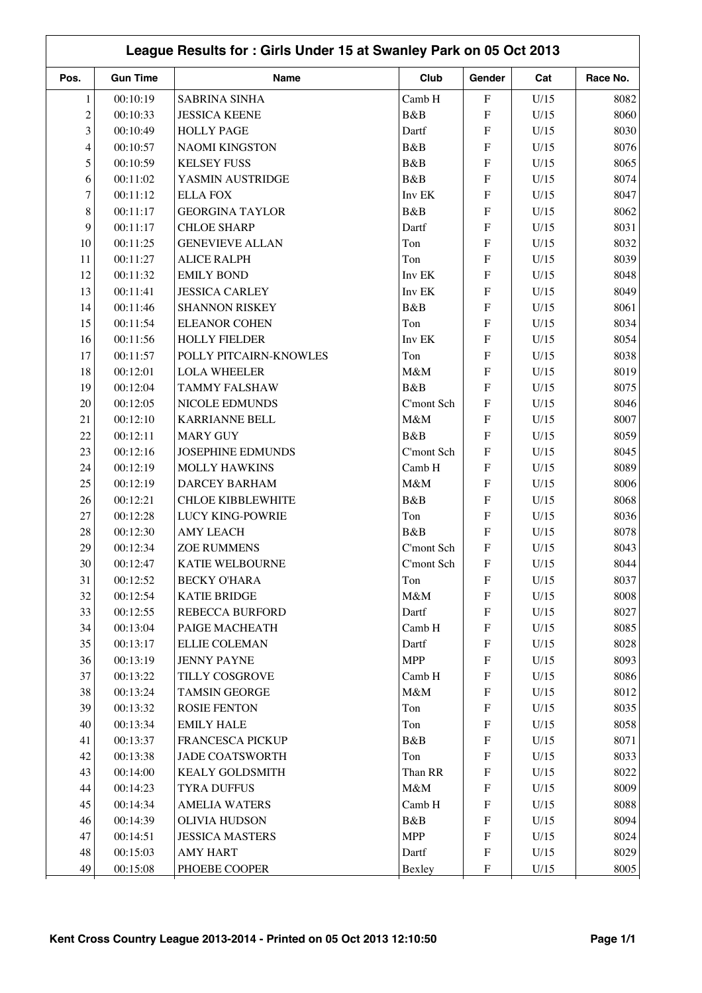|                                                            |                           | League Results for: Girls Under 15 at Swanley Park on 05 Oct 2013 |          |  |  |  |  |  |
|------------------------------------------------------------|---------------------------|-------------------------------------------------------------------|----------|--|--|--|--|--|
| Club<br>Pos.<br><b>Gun Time</b><br>Name                    | Gender                    | Cat                                                               | Race No. |  |  |  |  |  |
| 00:10:19<br><b>SABRINA SINHA</b><br>Camb H<br>$\mathbf{1}$ | ${\bf F}$                 | U/15                                                              | 8082     |  |  |  |  |  |
| $\overline{c}$<br>00:10:33<br><b>JESSICA KEENE</b><br>B&B  | $\boldsymbol{\mathrm{F}}$ | U/15                                                              | 8060     |  |  |  |  |  |
| 3<br>00:10:49<br><b>HOLLY PAGE</b><br>Dartf                | ${\bf F}$                 | U/15                                                              | 8030     |  |  |  |  |  |
| B&B<br>4<br>00:10:57<br><b>NAOMI KINGSTON</b>              | $\mathbf F$               | U/15                                                              | 8076     |  |  |  |  |  |
| 5<br>00:10:59<br><b>KELSEY FUSS</b><br>B&B                 | $\mathbf F$               | U/15                                                              | 8065     |  |  |  |  |  |
| 6<br>00:11:02<br>YASMIN AUSTRIDGE<br>B&B                   | $\mathbf F$               | U/15                                                              | 8074     |  |  |  |  |  |
| 7<br>00:11:12<br><b>ELLA FOX</b><br>Inv EK                 | ${\bf F}$                 | U/15                                                              | 8047     |  |  |  |  |  |
| 8<br>B&B<br>00:11:17<br><b>GEORGINA TAYLOR</b>             | ${\bf F}$                 | U/15                                                              | 8062     |  |  |  |  |  |
| 9<br>00:11:17<br><b>CHLOE SHARP</b><br>Dartf               | $\mathbf{F}$              | U/15                                                              | 8031     |  |  |  |  |  |
| 10<br>00:11:25<br><b>GENEVIEVE ALLAN</b><br>Ton            | ${\bf F}$                 | U/15                                                              | 8032     |  |  |  |  |  |
| Ton<br>11<br>00:11:27<br><b>ALICE RALPH</b>                | $\mathbf{F}$              | U/15                                                              | 8039     |  |  |  |  |  |
| 12<br>00:11:32<br><b>EMILY BOND</b><br>Inv EK              | $\mathbf{F}$              | U/15                                                              | 8048     |  |  |  |  |  |
| 13<br><b>JESSICA CARLEY</b><br>00:11:41<br>Inv EK          | $\mathbf F$               | U/15                                                              | 8049     |  |  |  |  |  |
| 14<br>00:11:46<br><b>SHANNON RISKEY</b><br>B&B             | $\mathbf F$               | U/15                                                              | 8061     |  |  |  |  |  |
| 15<br>00:11:54<br><b>ELEANOR COHEN</b><br>Ton              | $\boldsymbol{\mathrm{F}}$ | U/15                                                              | 8034     |  |  |  |  |  |
| 16<br>00:11:56<br><b>HOLLY FIELDER</b><br>Inv EK           | $\mathbf F$               | U/15                                                              | 8054     |  |  |  |  |  |
| 17<br>POLLY PITCAIRN-KNOWLES<br>Ton<br>00:11:57            | $\mathbf F$               | U/15                                                              | 8038     |  |  |  |  |  |
| 18<br>00:12:01<br><b>LOLA WHEELER</b><br>M&M               | ${\bf F}$                 | U/15                                                              | 8019     |  |  |  |  |  |
| 19<br>B&B<br>00:12:04<br><b>TAMMY FALSHAW</b>              | $\mathbf F$               | U/15                                                              | 8075     |  |  |  |  |  |
| 20<br>00:12:05<br>NICOLE EDMUNDS<br>C'mont Sch             | $\boldsymbol{\mathrm{F}}$ | U/15                                                              | 8046     |  |  |  |  |  |
| 21<br>00:12:10<br><b>KARRIANNE BELL</b><br>M&M             | $\mathbf F$               | U/15                                                              | 8007     |  |  |  |  |  |
| B&B<br>22<br>00:12:11<br><b>MARY GUY</b>                   | $\mathbf{F}$              | U/15                                                              | 8059     |  |  |  |  |  |
| 23<br>00:12:16<br><b>JOSEPHINE EDMUNDS</b><br>C'mont Sch   | ${\bf F}$                 | U/15                                                              | 8045     |  |  |  |  |  |
| 24<br>00:12:19<br><b>MOLLY HAWKINS</b><br>Camb H           | $\mathbf{F}$              | U/15                                                              | 8089     |  |  |  |  |  |
| M&M<br>25<br>00:12:19<br><b>DARCEY BARHAM</b>              | $\boldsymbol{\mathrm{F}}$ | U/15                                                              | 8006     |  |  |  |  |  |
| B&B<br>26<br>00:12:21<br><b>CHLOE KIBBLEWHITE</b>          | $\boldsymbol{\mathrm{F}}$ | U/15                                                              | 8068     |  |  |  |  |  |
| 27<br>00:12:28<br>LUCY KING-POWRIE<br>Ton                  | $\mathbf{F}$              | U/15                                                              | 8036     |  |  |  |  |  |
| $28\,$<br>00:12:30<br><b>AMY LEACH</b><br>B&B              | $\mathbf{F}$              | U/15                                                              | 8078     |  |  |  |  |  |
| 29<br>00:12:34<br><b>ZOE RUMMENS</b><br>C'mont Sch         | $\boldsymbol{\mathrm{F}}$ | U/15                                                              | 8043     |  |  |  |  |  |
| 30<br>00:12:47<br>KATIE WELBOURNE<br>C'mont Sch            | F                         | U/15                                                              | 8044     |  |  |  |  |  |
| 31<br>00:12:52<br><b>BECKY O'HARA</b><br>Ton               | $\boldsymbol{\mathrm{F}}$ | U/15                                                              | 8037     |  |  |  |  |  |
| 32<br>00:12:54<br><b>KATIE BRIDGE</b><br>M&M               | $\boldsymbol{\mathrm{F}}$ | U/15                                                              | 8008     |  |  |  |  |  |
| 33<br>00:12:55<br>REBECCA BURFORD<br>Dartf                 | $\boldsymbol{\mathrm{F}}$ | U/15                                                              | 8027     |  |  |  |  |  |
| 34<br>00:13:04<br>PAIGE MACHEATH<br>Camb H                 | $\boldsymbol{\mathrm{F}}$ | U/15                                                              | 8085     |  |  |  |  |  |
| 35<br>00:13:17<br><b>ELLIE COLEMAN</b><br>Dartf            | $\boldsymbol{\mathrm{F}}$ | U/15                                                              | 8028     |  |  |  |  |  |
| 36<br><b>MPP</b><br>00:13:19<br><b>JENNY PAYNE</b>         | $\boldsymbol{\mathrm{F}}$ | U/15                                                              | 8093     |  |  |  |  |  |
| 37<br>00:13:22<br>TILLY COSGROVE<br>Camb H                 | $\boldsymbol{\mathrm{F}}$ | U/15                                                              | 8086     |  |  |  |  |  |
| 38<br>00:13:24<br>$M\&M$<br><b>TAMSIN GEORGE</b>           | $\boldsymbol{\mathrm{F}}$ | U/15                                                              | 8012     |  |  |  |  |  |
| 39<br><b>ROSIE FENTON</b><br>Ton<br>00:13:32               | $\boldsymbol{\mathrm{F}}$ | U/15                                                              | 8035     |  |  |  |  |  |
| 40<br>00:13:34<br><b>EMILY HALE</b><br>Ton                 | $\boldsymbol{\mathrm{F}}$ | U/15                                                              | 8058     |  |  |  |  |  |
| 41<br>00:13:37<br>FRANCESCA PICKUP<br>B&B                  | $\boldsymbol{\mathrm{F}}$ | U/15                                                              | 8071     |  |  |  |  |  |
| 42<br>00:13:38<br>JADE COATSWORTH<br>Ton                   | $\boldsymbol{\mathrm{F}}$ | U/15                                                              | 8033     |  |  |  |  |  |
| 43<br><b>KEALY GOLDSMITH</b><br>Than RR<br>00:14:00        | $\boldsymbol{\mathrm{F}}$ | U/15                                                              | 8022     |  |  |  |  |  |
| 44<br>00:14:23<br>$M\&M$<br><b>TYRA DUFFUS</b>             | $\boldsymbol{\mathrm{F}}$ | U/15                                                              | 8009     |  |  |  |  |  |
| 45<br>00:14:34<br><b>AMELIA WATERS</b><br>Camb H           | $\boldsymbol{\mathrm{F}}$ | U/15                                                              | 8088     |  |  |  |  |  |
| 46<br>00:14:39<br><b>OLIVIA HUDSON</b><br>B&B              | $\boldsymbol{\mathrm{F}}$ | U/15                                                              | 8094     |  |  |  |  |  |
| 47<br><b>JESSICA MASTERS</b><br><b>MPP</b><br>00:14:51     | $\boldsymbol{\mathrm{F}}$ | U/15                                                              | 8024     |  |  |  |  |  |
| 48<br>00:15:03<br><b>AMY HART</b><br>Dartf                 | $\boldsymbol{\mathrm{F}}$ | U/15                                                              | 8029     |  |  |  |  |  |
| 49<br>00:15:08<br>PHOEBE COOPER<br>Bexley                  | $\boldsymbol{\mathrm{F}}$ | U/15                                                              | 8005     |  |  |  |  |  |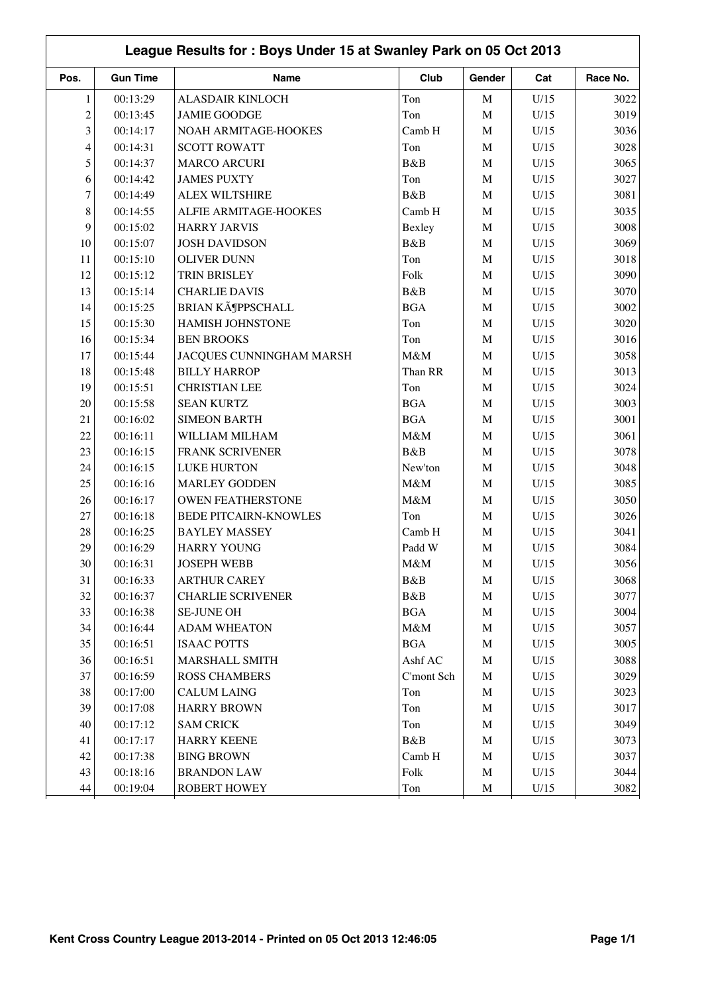|                | League Results for: Boys Under 15 at Swanley Park on 05 Oct 2013 |                              |            |             |      |          |  |
|----------------|------------------------------------------------------------------|------------------------------|------------|-------------|------|----------|--|
| Pos.           | <b>Gun Time</b>                                                  | <b>Name</b>                  | Club       | Gender      | Cat  | Race No. |  |
| 1              | 00:13:29                                                         | <b>ALASDAIR KINLOCH</b>      | Ton        | $\mathbf M$ | U/15 | 3022     |  |
| $\overline{c}$ | 00:13:45                                                         | <b>JAMIE GOODGE</b>          | Ton        | $\mathbf M$ | U/15 | 3019     |  |
| 3              | 00:14:17                                                         | NOAH ARMITAGE-HOOKES         | Camb H     | $\mathbf M$ | U/15 | 3036     |  |
| 4              | 00:14:31                                                         | <b>SCOTT ROWATT</b>          | Ton        | $\mathbf M$ | U/15 | 3028     |  |
| 5              | 00:14:37                                                         | <b>MARCO ARCURI</b>          | B&B        | $\mathbf M$ | U/15 | 3065     |  |
| 6              | 00:14:42                                                         | <b>JAMES PUXTY</b>           | Ton        | $\mathbf M$ | U/15 | 3027     |  |
| $\tau$         | 00:14:49                                                         | <b>ALEX WILTSHIRE</b>        | B&B        | $\mathbf M$ | U/15 | 3081     |  |
| $\,8\,$        | 00:14:55                                                         | ALFIE ARMITAGE-HOOKES        | Camb H     | $\mathbf M$ | U/15 | 3035     |  |
| 9              | 00:15:02                                                         | <b>HARRY JARVIS</b>          | Bexley     | $\mathbf M$ | U/15 | 3008     |  |
| 10             | 00:15:07                                                         | <b>JOSH DAVIDSON</b>         | B&B        | $\mathbf M$ | U/15 | 3069     |  |
| 11             | 00:15:10                                                         | <b>OLIVER DUNN</b>           | Ton        | $\mathbf M$ | U/15 | 3018     |  |
| 12             | 00:15:12                                                         | TRIN BRISLEY                 | Folk       | $\mathbf M$ | U/15 | 3090     |  |
| 13             | 00:15:14                                                         | <b>CHARLIE DAVIS</b>         | B&B        | $\mathbf M$ | U/15 | 3070     |  |
| 14             | 00:15:25                                                         | BRIAN KöPPSCHALL             | <b>BGA</b> | $\mathbf M$ | U/15 | 3002     |  |
| 15             | 00:15:30                                                         | HAMISH JOHNSTONE             | Ton        | $\mathbf M$ | U/15 | 3020     |  |
| 16             | 00:15:34                                                         | <b>BEN BROOKS</b>            | Ton        | $\mathbf M$ | U/15 | 3016     |  |
| 17             | 00:15:44                                                         | JACQUES CUNNINGHAM MARSH     | M&M        | $\mathbf M$ | U/15 | 3058     |  |
| 18             | 00:15:48                                                         | <b>BILLY HARROP</b>          | Than RR    | $\mathbf M$ | U/15 | 3013     |  |
| 19             | 00:15:51                                                         | <b>CHRISTIAN LEE</b>         | Ton        | $\mathbf M$ | U/15 | 3024     |  |
| 20             | 00:15:58                                                         | <b>SEAN KURTZ</b>            | <b>BGA</b> | $\mathbf M$ | U/15 | 3003     |  |
| 21             | 00:16:02                                                         | <b>SIMEON BARTH</b>          | <b>BGA</b> | $\mathbf M$ | U/15 | 3001     |  |
| 22             | 00:16:11                                                         | WILLIAM MILHAM               | M&M        | $\mathbf M$ | U/15 | 3061     |  |
| 23             | 00:16:15                                                         | <b>FRANK SCRIVENER</b>       | B&B        | $\mathbf M$ | U/15 | 3078     |  |
| 24             | 00:16:15                                                         | <b>LUKE HURTON</b>           | New'ton    | $\mathbf M$ | U/15 | 3048     |  |
| 25             | 00:16:16                                                         | <b>MARLEY GODDEN</b>         | M&M        | $\mathbf M$ | U/15 | 3085     |  |
| 26             | 00:16:17                                                         | <b>OWEN FEATHERSTONE</b>     | M&M        | $\mathbf M$ | U/15 | 3050     |  |
| 27             | 00:16:18                                                         | <b>BEDE PITCAIRN-KNOWLES</b> | Ton        | $\mathbf M$ | U/15 | 3026     |  |
| 28             | 00:16:25                                                         | <b>BAYLEY MASSEY</b>         | Camb H     | $\mathbf M$ | U/15 | 3041     |  |
| 29             | 00:16:29                                                         | <b>HARRY YOUNG</b>           | Padd W     | $\mathbf M$ | U/15 | 3084     |  |
| 30             | 00:16:31                                                         | <b>JOSEPH WEBB</b>           | M&M        | M           | U/15 | 3056     |  |
| 31             | 00:16:33                                                         | <b>ARTHUR CAREY</b>          | B&B        | M           | U/15 | 3068     |  |
| 32             | 00:16:37                                                         | <b>CHARLIE SCRIVENER</b>     | B&B        | $\mathbf M$ | U/15 | 3077     |  |
| 33             | 00:16:38                                                         | <b>SE-JUNE OH</b>            | <b>BGA</b> | $\mathbf M$ | U/15 | 3004     |  |
| 34             | 00:16:44                                                         | <b>ADAM WHEATON</b>          | $M\&M$     | $\mathbf M$ | U/15 | 3057     |  |
| 35             | 00:16:51                                                         | <b>ISAAC POTTS</b>           | <b>BGA</b> | $\mathbf M$ | U/15 | 3005     |  |
| 36             | 00:16:51                                                         | MARSHALL SMITH               | Ashf AC    | $\mathbf M$ | U/15 | 3088     |  |
| 37             | 00:16:59                                                         | <b>ROSS CHAMBERS</b>         | C'mont Sch | $\mathbf M$ | U/15 | 3029     |  |
| 38             | 00:17:00                                                         | <b>CALUM LAING</b>           | Ton        | $\mathbf M$ | U/15 | 3023     |  |
| 39             | 00:17:08                                                         | <b>HARRY BROWN</b>           | Ton        | $\mathbf M$ | U/15 | 3017     |  |
| 40             | 00:17:12                                                         | <b>SAM CRICK</b>             | Ton        | $\mathbf M$ | U/15 | 3049     |  |
| 41             | 00:17:17                                                         | <b>HARRY KEENE</b>           | B&B        | $\mathbf M$ | U/15 | 3073     |  |
| 42             | 00:17:38                                                         | <b>BING BROWN</b>            | Camb H     | $\mathbf M$ | U/15 | 3037     |  |
| 43             | 00:18:16                                                         | <b>BRANDON LAW</b>           | Folk       | $\mathbf M$ | U/15 | 3044     |  |
| 44             | 00:19:04                                                         | <b>ROBERT HOWEY</b>          | Ton        | $\mathbf M$ | U/15 | 3082     |  |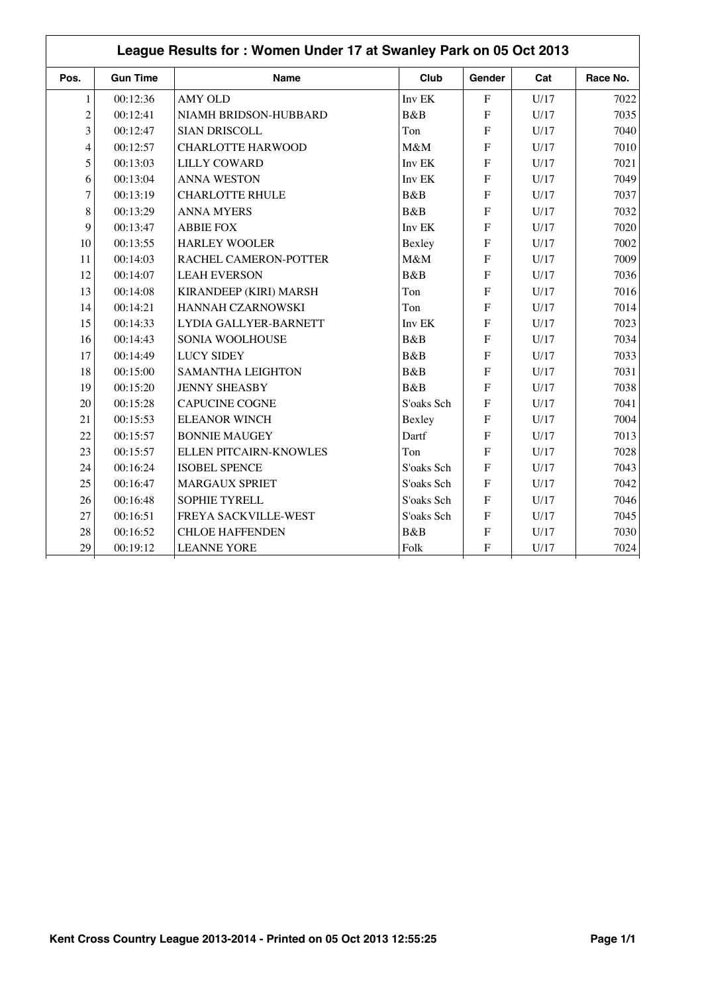|                | League Results for: Women Under 17 at Swanley Park on 05 Oct 2013 |                          |            |                           |      |          |
|----------------|-------------------------------------------------------------------|--------------------------|------------|---------------------------|------|----------|
| Pos.           | <b>Gun Time</b>                                                   | <b>Name</b>              | Club       | Gender                    | Cat  | Race No. |
| 1              | 00:12:36                                                          | <b>AMY OLD</b>           | Inv EK     | $\mathbf F$               | U/17 | 7022     |
| $\overline{c}$ | 00:12:41                                                          | NIAMH BRIDSON-HUBBARD    | B&B        | ${\bf F}$                 | U/17 | 7035     |
| 3              | 00:12:47                                                          | SIAN DRISCOLL            | Ton        | ${\bf F}$                 | U/17 | 7040     |
| $\overline{4}$ | 00:12:57                                                          | <b>CHARLOTTE HARWOOD</b> | M&M        | ${\bf F}$                 | U/17 | 7010     |
| 5              | 00:13:03                                                          | <b>LILLY COWARD</b>      | Inv EK     | ${\bf F}$                 | U/17 | 7021     |
| 6              | 00:13:04                                                          | <b>ANNA WESTON</b>       | Inv EK     | ${\bf F}$                 | U/17 | 7049     |
| $\overline{7}$ | 00:13:19                                                          | <b>CHARLOTTE RHULE</b>   | B&B        | $\overline{F}$            | U/17 | 7037     |
| $\,8\,$        | 00:13:29                                                          | <b>ANNA MYERS</b>        | B&B        | ${\bf F}$                 | U/17 | 7032     |
| 9              | 00:13:47                                                          | <b>ABBIE FOX</b>         | Inv EK     | ${\bf F}$                 | U/17 | 7020     |
| 10             | 00:13:55                                                          | <b>HARLEY WOOLER</b>     | Bexley     | ${\bf F}$                 | U/17 | 7002     |
| 11             | 00:14:03                                                          | RACHEL CAMERON-POTTER    | M&M        | $\mathbf F$               | U/17 | 7009     |
| 12             | 00:14:07                                                          | <b>LEAH EVERSON</b>      | B&B        | ${\bf F}$                 | U/17 | 7036     |
| 13             | 00:14:08                                                          | KIRANDEEP (KIRI) MARSH   | Ton        | ${\bf F}$                 | U/17 | 7016     |
| 14             | 00:14:21                                                          | HANNAH CZARNOWSKI        | Ton        | ${\bf F}$                 | U/17 | 7014     |
| 15             | 00:14:33                                                          | LYDIA GALLYER-BARNETT    | Inv EK     | ${\bf F}$                 | U/17 | 7023     |
| 16             | 00:14:43                                                          | SONIA WOOLHOUSE          | B&B        | $\mathbf F$               | U/17 | 7034     |
| 17             | 00:14:49                                                          | <b>LUCY SIDEY</b>        | B&B        | ${\bf F}$                 | U/17 | 7033     |
| 18             | 00:15:00                                                          | <b>SAMANTHA LEIGHTON</b> | B&B        | ${\bf F}$                 | U/17 | 7031     |
| 19             | 00:15:20                                                          | <b>JENNY SHEASBY</b>     | B&B        | ${\bf F}$                 | U/17 | 7038     |
| 20             | 00:15:28                                                          | <b>CAPUCINE COGNE</b>    | S'oaks Sch | ${\bf F}$                 | U/17 | 7041     |
| 21             | 00:15:53                                                          | <b>ELEANOR WINCH</b>     | Bexley     | ${\bf F}$                 | U/17 | 7004     |
| 22             | 00:15:57                                                          | <b>BONNIE MAUGEY</b>     | Dartf      | $\mathbf F$               | U/17 | 7013     |
| 23             | 00:15:57                                                          | ELLEN PITCAIRN-KNOWLES   | Ton        | ${\bf F}$                 | U/17 | 7028     |
| 24             | 00:16:24                                                          | <b>ISOBEL SPENCE</b>     | S'oaks Sch | ${\bf F}$                 | U/17 | 7043     |
| 25             | 00:16:47                                                          | <b>MARGAUX SPRIET</b>    | S'oaks Sch | ${\bf F}$                 | U/17 | 7042     |
| 26             | 00:16:48                                                          | <b>SOPHIE TYRELL</b>     | S'oaks Sch | $\mathbf F$               | U/17 | 7046     |
| 27             | 00:16:51                                                          | FREYA SACKVILLE-WEST     | S'oaks Sch | ${\bf F}$                 | U/17 | 7045     |
| 28             | 00:16:52                                                          | <b>CHLOE HAFFENDEN</b>   | B&B        | $\rm F$                   | U/17 | 7030     |
| 29             | 00:19:12                                                          | <b>LEANNE YORE</b>       | Folk       | $\boldsymbol{\mathrm{F}}$ | U/17 | 7024     |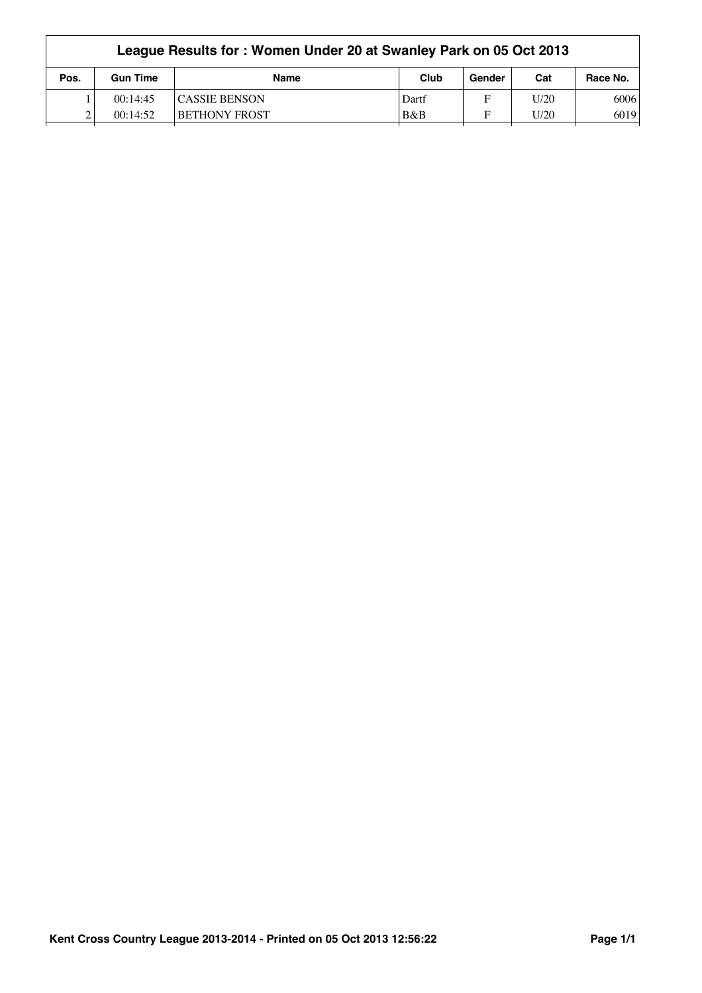|      |                 | League Results for: Women Under 20 at Swanley Park on 05 Oct 2013 |       |        |      |          |
|------|-----------------|-------------------------------------------------------------------|-------|--------|------|----------|
| Pos. | <b>Gun Time</b> | Name                                                              | Club  | Gender | Cat  | Race No. |
|      | 00:14:45        | <b>ICASSIE BENSON</b>                                             | Dartf | F      | U/20 | 6006     |
| ◠    | 00:14:52        | <b>BETHONY FROST</b>                                              | B&B   | E      | U/20 | 6019     |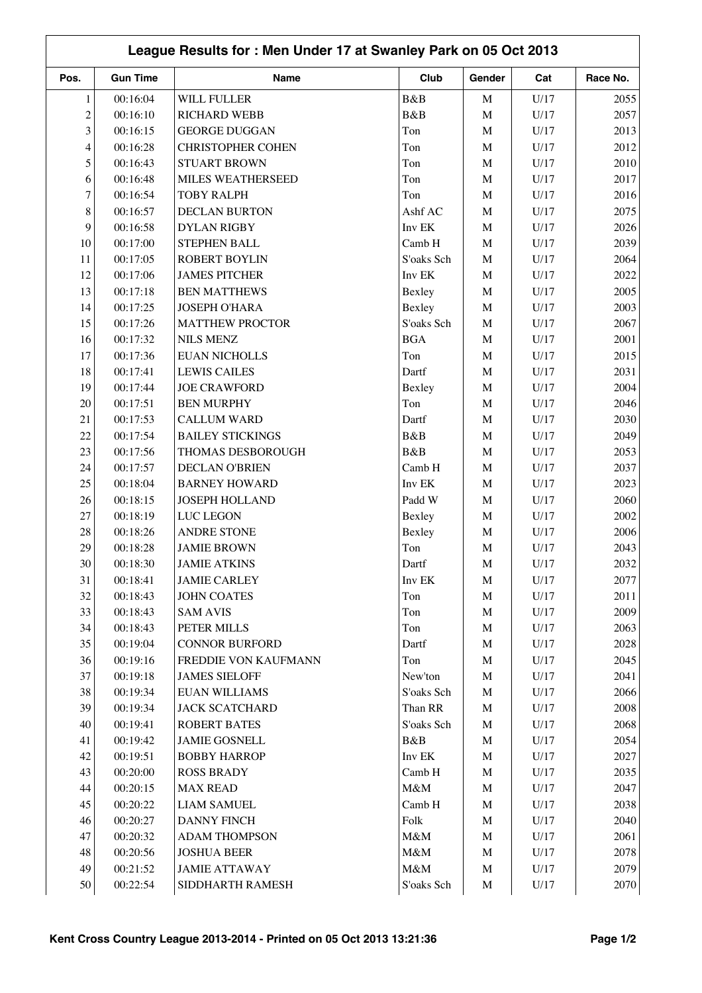| Pos.           | <b>Gun Time</b>      | Name                                 | Club             | Gender                     | Cat             | Race No.     |
|----------------|----------------------|--------------------------------------|------------------|----------------------------|-----------------|--------------|
| 1              | 00:16:04             | WILL FULLER                          | B&B              | $\mathbf M$                | U/17            | 2055         |
| $\overline{c}$ | 00:16:10             | <b>RICHARD WEBB</b>                  | B&B              | $\mathbf M$                | U/17            | 2057         |
| 3              | 00:16:15             | <b>GEORGE DUGGAN</b>                 | Ton              | M                          | U/17            | 2013         |
| $\overline{4}$ | 00:16:28             | <b>CHRISTOPHER COHEN</b>             | Ton              | $\mathbf M$                | U/17            | 2012         |
| 5              | 00:16:43             | <b>STUART BROWN</b>                  | Ton              | $\mathbf M$                | U/17            | 2010         |
| 6              | 00:16:48             | MILES WEATHERSEED                    | Ton              | $\mathbf M$                | U/17            | 2017         |
| $\tau$         | 00:16:54             | <b>TOBY RALPH</b>                    | Ton              | $\mathbf M$                | U/17            | 2016         |
| 8              | 00:16:57             | <b>DECLAN BURTON</b>                 | Ashf AC          | $\mathbf M$                | U/17            | 2075         |
| 9              | 00:16:58             | <b>DYLAN RIGBY</b>                   | Inv EK           | $\mathbf M$                | U/17            | 2026         |
| 10             | 00:17:00             | STEPHEN BALL                         | Camb H           | $\mathbf M$                | U/17            | 2039         |
| 11             | 00:17:05             | ROBERT BOYLIN                        | S'oaks Sch       | $\mathbf M$                | U/17            | 2064         |
| 12             | 00:17:06             | <b>JAMES PITCHER</b>                 | Inv EK           | $\mathbf M$                | U/17            | 2022         |
| 13             | 00:17:18             | <b>BEN MATTHEWS</b>                  | Bexley           | $\mathbf M$                | U/17            | 2005         |
| 14             | 00:17:25             | JOSEPH O'HARA                        | Bexley           | $\mathbf M$                | U/17            | 2003         |
| 15             | 00:17:26             | <b>MATTHEW PROCTOR</b>               | S'oaks Sch       | $\mathbf M$                | U/17            | 2067         |
| 16             | 00:17:32             | <b>NILS MENZ</b>                     | <b>BGA</b>       | $\mathbf M$                | U/17            | 2001         |
| 17             | 00:17:36             | <b>EUAN NICHOLLS</b>                 | Ton              | $\mathbf M$                | U/17            | 2015         |
| 18             | 00:17:41             | <b>LEWIS CAILES</b>                  | Dartf            | $\mathbf M$                | U/17            | 2031         |
| 19             | 00:17:44             | <b>JOE CRAWFORD</b>                  | Bexley           | $\mathbf M$                | U/17            | 2004         |
| 20             | 00:17:51             | <b>BEN MURPHY</b>                    | Ton              | $\mathbf M$                | U/17            | 2046         |
| 21             | 00:17:53             | <b>CALLUM WARD</b>                   | Dartf            | $\mathbf M$                | U/17            | 2030         |
| 22             | 00:17:54             | <b>BAILEY STICKINGS</b>              | B&B              | $\mathbf M$                | U/17            | 2049         |
| 23             | 00:17:56             | THOMAS DESBOROUGH                    | B&B              | $\mathbf M$                | U/17            | 2053         |
| 24             | 00:17:57             | <b>DECLAN O'BRIEN</b>                | Camb H           | $\mathbf M$                | U/17            | 2037         |
| 25             | 00:18:04             | <b>BARNEY HOWARD</b>                 | Inv EK           | $\mathbf M$                | U/17            | 2023         |
| 26             | 00:18:15             | <b>JOSEPH HOLLAND</b>                | Padd W           | $\mathbf M$                | U/17            | 2060         |
| 27             | 00:18:19             | LUC LEGON                            | Bexley           | $\mathbf M$                | U/17            | 2002         |
| 28             | 00:18:26             | <b>ANDRE STONE</b>                   | Bexley           | $\mathbf M$                | U/17            | 2006         |
| 29             | 00:18:28             | <b>JAMIE BROWN</b>                   | Ton              | $\mathbf M$                | U/17            | 2043         |
| 30             | 00:18:30             | <b>JAMIE ATKINS</b>                  | Dartf            | M                          | U/17            | 2032         |
| 31             | 00:18:41             | <b>JAMIE CARLEY</b>                  | Inv EK           | M                          | U/17            | 2077         |
| 32             | 00:18:43             | <b>JOHN COATES</b>                   | Ton              | $\mathbf M$                | $\mathrm{U}/17$ | 2011         |
| 33             | 00:18:43             | <b>SAM AVIS</b>                      | Ton              | $\mathbf M$                | U/17            | 2009         |
| 34             | 00:18:43             | PETER MILLS                          | Ton              | $\mathbf M$                | U/17            | 2063         |
| 35             | 00:19:04             | <b>CONNOR BURFORD</b>                | Dartf            | $\mathbf M$                | U/17            | 2028         |
| 36             | 00:19:16             | FREDDIE VON KAUFMANN                 | Ton              | $\mathbf M$                | U/17            | 2045         |
| 37             | 00:19:18             | <b>JAMES SIELOFF</b>                 | New'ton          | $\mathbf M$                | U/17            | 2041         |
| 38             | 00:19:34             | <b>EUAN WILLIAMS</b>                 | S'oaks Sch       | $\mathbf M$                | U/17            | 2066         |
| 39             | 00:19:34             | <b>JACK SCATCHARD</b>                | Than RR          | $\mathbf M$                | U/17            | 2008         |
| 40             | 00:19:41             | <b>ROBERT BATES</b>                  | S'oaks Sch       | $\mathbf M$                | U/17            | 2068         |
| 41             | 00:19:42             | <b>JAMIE GOSNELL</b>                 | B&B              | $\mathbf M$                | U/17            | 2054         |
|                |                      | <b>BOBBY HARROP</b>                  |                  |                            |                 |              |
| 42             | 00:19:51             |                                      | Inv EK           | $\mathbf M$                | U/17            | 2027         |
| 43<br>44       | 00:20:00<br>00:20:15 | <b>ROSS BRADY</b><br><b>MAX READ</b> | Camb H<br>$M\&M$ | $\mathbf M$<br>$\mathbf M$ | U/17<br>U/17    | 2035<br>2047 |
|                |                      |                                      |                  |                            |                 |              |
| 45             | 00:20:22             | <b>LIAM SAMUEL</b>                   | Camb H           | $\mathbf M$                | U/17            | 2038         |
| 46             | 00:20:27             | DANNY FINCH                          | Folk             | $\mathbf M$                | U/17            | 2040         |
| 47             | 00:20:32             | <b>ADAM THOMPSON</b>                 | M&M              | $\mathbf M$                | U/17            | 2061         |
| 48             | 00:20:56             | <b>JOSHUA BEER</b>                   | M&M              | $\mathbf M$                | U/17            | 2078         |
| 49             | 00:21:52             | <b>JAMIE ATTAWAY</b>                 | M&M              | $\mathbf M$                | U/17            | 2079         |
| $50\,$         | 00:22:54             | SIDDHARTH RAMESH                     | S'oaks Sch       | $\mathbf M$                | U/17            | 2070         |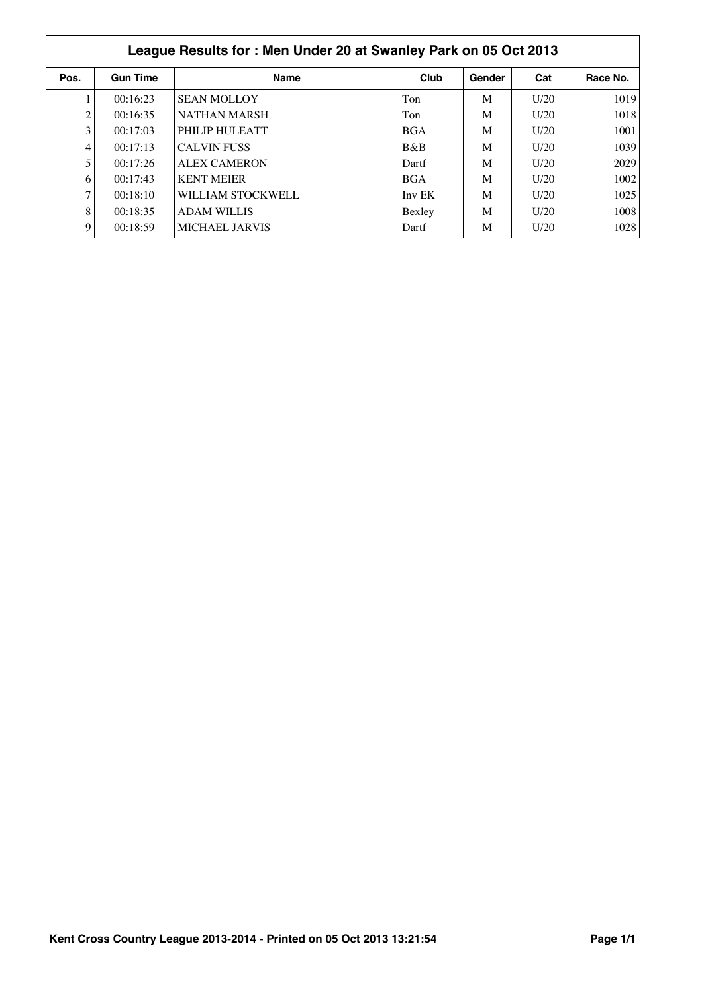|                | League Results for: Men Under 20 at Swanley Park on 05 Oct 2013 |                       |            |        |      |          |  |
|----------------|-----------------------------------------------------------------|-----------------------|------------|--------|------|----------|--|
| Pos.           | <b>Gun Time</b>                                                 | <b>Name</b>           | Club       | Gender | Cat  | Race No. |  |
|                | 00:16:23                                                        | <b>SEAN MOLLOY</b>    | Ton        | M      | U/20 | 1019     |  |
| $\overline{c}$ | 00:16:35                                                        | <b>NATHAN MARSH</b>   | Ton        | M      | U/20 | 1018     |  |
| 3              | 00:17:03                                                        | PHILIP HULEATT        | <b>BGA</b> | M      | U/20 | 1001     |  |
| 4              | 00:17:13                                                        | <b>CALVIN FUSS</b>    | B&B        | M      | U/20 | 1039     |  |
| 5              | 00:17:26                                                        | <b>ALEX CAMERON</b>   | Dartf      | M      | U/20 | 2029     |  |
| 6              | 00:17:43                                                        | <b>KENT MEIER</b>     | <b>BGA</b> | M      | U/20 | 1002     |  |
| 7              | 00:18:10                                                        | WILLIAM STOCKWELL     | Inv EK     | M      | U/20 | 1025     |  |
| 8              | 00:18:35                                                        | <b>ADAM WILLIS</b>    | Bexley     | M      | U/20 | 1008     |  |
| 9              | 00:18:59                                                        | <b>MICHAEL JARVIS</b> | Dartf      | М      | U/20 | 1028     |  |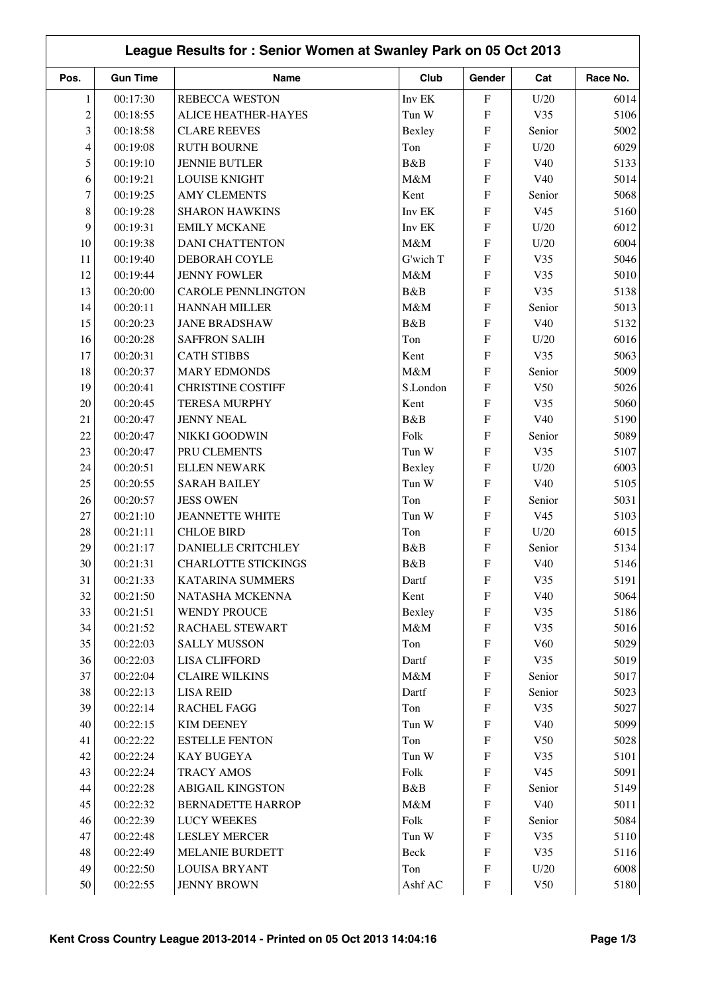|                |                 | League Results for: Senior Women at Swanley Park on 05 Oct 2013 |          |                           |                 |              |
|----------------|-----------------|-----------------------------------------------------------------|----------|---------------------------|-----------------|--------------|
| Pos.           | <b>Gun Time</b> | Name                                                            | Club     | Gender                    | Cat             | Race No.     |
| $\mathbf{1}$   | 00:17:30        | <b>REBECCA WESTON</b>                                           | Inv EK   | ${\bf F}$                 | U/20            | 6014         |
| $\overline{c}$ | 00:18:55        | ALICE HEATHER-HAYES                                             | Tun W    | ${\bf F}$                 | V35             | 5106         |
| 3              | 00:18:58        | <b>CLARE REEVES</b>                                             | Bexley   | ${\bf F}$                 | Senior          | 5002         |
| 4              | 00:19:08        | <b>RUTH BOURNE</b>                                              | Ton      | ${\bf F}$                 | U/20            | 6029         |
| 5              | 00:19:10        | <b>JENNIE BUTLER</b>                                            | B&B      | ${\bf F}$                 | V40             | 5133         |
| 6              | 00:19:21        | <b>LOUISE KNIGHT</b>                                            | M&M      | ${\bf F}$                 | V40             | 5014         |
| $\tau$         | 00:19:25        | <b>AMY CLEMENTS</b>                                             | Kent     | ${\bf F}$                 | Senior          | 5068         |
| 8              | 00:19:28        | <b>SHARON HAWKINS</b>                                           | Inv EK   | ${\bf F}$                 | V <sub>45</sub> | 5160         |
| 9              | 00:19:31        | <b>EMILY MCKANE</b>                                             | Inv EK   | $\rm F$                   | U/20            | 6012         |
| 10             | 00:19:38        | <b>DANI CHATTENTON</b>                                          | M&M      | ${\bf F}$                 | U/20            | 6004         |
| 11             | 00:19:40        | DEBORAH COYLE                                                   | G'wich T | ${\bf F}$                 | V35             | 5046         |
| 12             | 00:19:44        | <b>JENNY FOWLER</b>                                             | M&M      | ${\bf F}$                 | V35             | 5010         |
| 13             | 00:20:00        | <b>CAROLE PENNLINGTON</b>                                       | B&B      | F                         | V35             | 5138         |
| 14             | 00:20:11        | HANNAH MILLER                                                   | M&M      | ${\bf F}$                 | Senior          | 5013         |
| 15             | 00:20:23        | <b>JANE BRADSHAW</b>                                            | B&B      | ${\bf F}$                 | V40             | 5132         |
| 16             | 00:20:28        | <b>SAFFRON SALIH</b>                                            | Ton      | ${\bf F}$                 | U/20            | 6016         |
| 17             | 00:20:31        | <b>CATH STIBBS</b>                                              | Kent     | ${\bf F}$                 | V35             | 5063         |
| 18             | 00:20:37        | <b>MARY EDMONDS</b>                                             | M&M      | ${\bf F}$                 | Senior          | 5009         |
| 19             | 00:20:41        | <b>CHRISTINE COSTIFF</b>                                        | S.London | ${\rm F}$                 | V50             | 5026         |
| 20             | 00:20:45        | <b>TERESA MURPHY</b>                                            | Kent     | ${\bf F}$                 | V35             | 5060         |
| 21             | 00:20:47        | <b>JENNY NEAL</b>                                               | B&B      | ${\bf F}$                 | V40             | 5190         |
| 22             | 00:20:47        | NIKKI GOODWIN                                                   | Folk     | ${\bf F}$                 | Senior          | 5089         |
| 23             | 00:20:47        | PRU CLEMENTS                                                    | Tun W    | ${\bf F}$                 | V35             | 5107         |
| 24             | 00:20:51        | <b>ELLEN NEWARK</b>                                             | Bexley   | ${\bf F}$                 | U/20            | 6003         |
| 25             | 00:20:55        | <b>SARAH BAILEY</b>                                             | Tun W    | ${\bf F}$                 | V <sub>40</sub> | 5105         |
| 26             | 00:20:57        | <b>JESS OWEN</b>                                                | Ton      | ${\bf F}$                 | Senior          | 5031         |
| 27             | 00:21:10        | <b>JEANNETTE WHITE</b>                                          | Tun W    | ${\bf F}$                 | V <sub>45</sub> | 5103         |
| 28             | 00:21:11        | <b>CHLOE BIRD</b>                                               | Ton      | $\boldsymbol{\mathrm{F}}$ | U/20            | 6015         |
| 29             | 00:21:17        | DANIELLE CRITCHLEY                                              | B&B      | ${\bf F}$                 | Senior          | 5134         |
|                |                 |                                                                 |          |                           |                 |              |
| $30\,$         | 00:21:31        | <b>CHARLOTTE STICKINGS</b>                                      | B&B      | F                         | V40             | 5146<br>5191 |
| 31             | 00:21:33        | KATARINA SUMMERS                                                | Dartf    | $\boldsymbol{\mathrm{F}}$ | V35             |              |
| 32             | 00:21:50        | NATASHA MCKENNA                                                 | Kent     | ${\bf F}$                 | V40             | 5064         |
| 33             | 00:21:51        | <b>WENDY PROUCE</b>                                             | Bexley   | $\boldsymbol{\mathrm{F}}$ | V35             | 5186         |
| 34             | 00:21:52        | RACHAEL STEWART                                                 | $M\&M$   | $\boldsymbol{\mathrm{F}}$ | V35             | 5016         |
| 35             | 00:22:03        | <b>SALLY MUSSON</b>                                             | Ton      | $\boldsymbol{\mathrm{F}}$ | V60             | 5029         |
| 36             | 00:22:03        | <b>LISA CLIFFORD</b>                                            | Dartf    | $\boldsymbol{\mathrm{F}}$ | V35             | 5019         |
| 37             | 00:22:04        | <b>CLAIRE WILKINS</b>                                           | $M\&M$   | $\boldsymbol{\mathrm{F}}$ | Senior          | 5017         |
| 38             | 00:22:13        | <b>LISA REID</b>                                                | Dartf    | $\boldsymbol{\mathrm{F}}$ | Senior          | 5023         |
| 39             | 00:22:14        | <b>RACHEL FAGG</b>                                              | Ton      | $\boldsymbol{\mathrm{F}}$ | V35             | 5027         |
| 40             | 00:22:15        | <b>KIM DEENEY</b>                                               | Tun W    | ${\bf F}$                 | V40             | 5099         |
| 41             | 00:22:22        | <b>ESTELLE FENTON</b>                                           | Ton      | ${\bf F}$                 | V50             | 5028         |
| 42             | 00:22:24        | <b>KAY BUGEYA</b>                                               | Tun W    | ${\bf F}$                 | V35             | 5101         |
| 43             | 00:22:24        | <b>TRACY AMOS</b>                                               | Folk     | $\boldsymbol{\mathrm{F}}$ | V <sub>45</sub> | 5091         |
| 44             | 00:22:28        | <b>ABIGAIL KINGSTON</b>                                         | B&B      | $\boldsymbol{\mathrm{F}}$ | Senior          | 5149         |
| 45             | 00:22:32        | <b>BERNADETTE HARROP</b>                                        | $M\&M$   | $\boldsymbol{\mathrm{F}}$ | V40             | 5011         |
| 46             | 00:22:39        | <b>LUCY WEEKES</b>                                              | Folk     | $\boldsymbol{\mathrm{F}}$ | Senior          | 5084         |
| 47             | 00:22:48        | <b>LESLEY MERCER</b>                                            | Tun W    | ${\bf F}$                 | V35             | 5110         |
| 48             | 00:22:49        | MELANIE BURDETT                                                 | Beck     | $\boldsymbol{\mathrm{F}}$ | V35             | 5116         |
| 49             | 00:22:50        | <b>LOUISA BRYANT</b>                                            | Ton      | ${\bf F}$                 | U/20            | 6008         |
| 50             | 00:22:55        | <b>JENNY BROWN</b>                                              | Ashf AC  | $\boldsymbol{\mathrm{F}}$ | V50             | 5180         |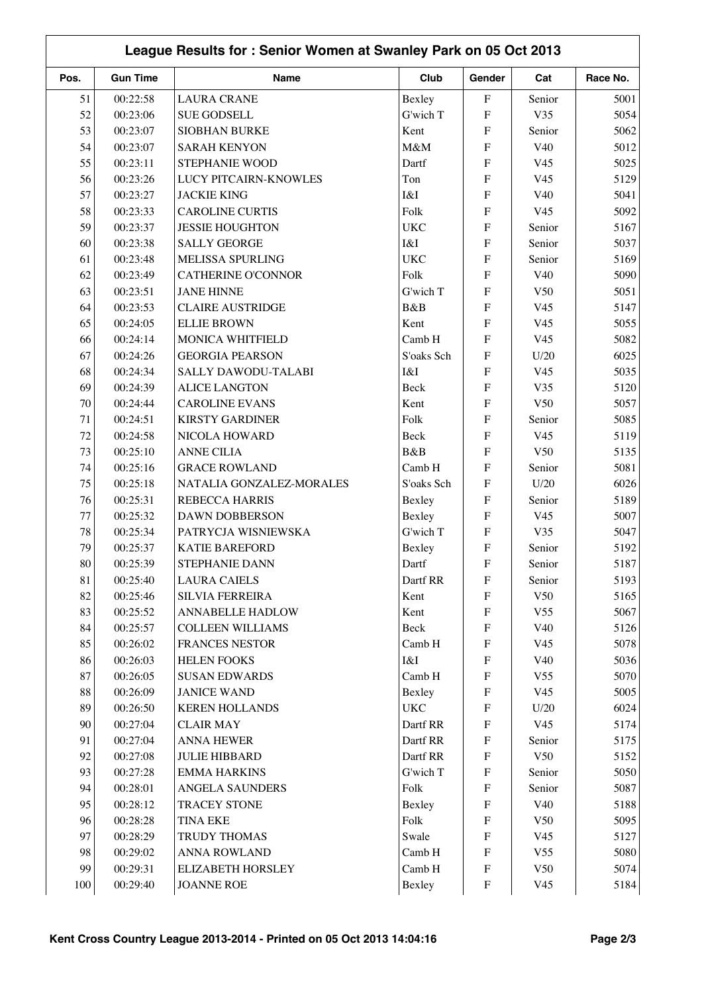| Pos.   | <b>Gun Time</b> | Name                       | Club         | Gender                    | Cat             | Race No. |
|--------|-----------------|----------------------------|--------------|---------------------------|-----------------|----------|
| 51     | 00:22:58        | <b>LAURA CRANE</b>         | Bexley       | $\rm F$                   | Senior          | 5001     |
| 52     | 00:23:06        | <b>SUE GODSELL</b>         | G'wich T     | F                         | V35             | 5054     |
| 53     | 00:23:07        | <b>SIOBHAN BURKE</b>       | Kent         | F                         | Senior          | 5062     |
| 54     | 00:23:07        | <b>SARAH KENYON</b>        | M&M          | ${\bf F}$                 | V40             | 5012     |
| 55     | 00:23:11        | STEPHANIE WOOD             | Dartf        | ${\bf F}$                 | V <sub>45</sub> | 5025     |
| 56     | 00:23:26        | LUCY PITCAIRN-KNOWLES      | Ton          | F                         | V <sub>45</sub> | 5129     |
| 57     | 00:23:27        | <b>JACKIE KING</b>         | I&I          | $\overline{F}$            | V40             | 5041     |
| 58     | 00:23:33        | <b>CAROLINE CURTIS</b>     | Folk         | $\boldsymbol{\mathrm{F}}$ | V <sub>45</sub> | 5092     |
| 59     | 00:23:37        | <b>JESSIE HOUGHTON</b>     | <b>UKC</b>   | F                         | Senior          | 5167     |
| 60     | 00:23:38        | <b>SALLY GEORGE</b>        | I&I          | F                         | Senior          | 5037     |
| 61     | 00:23:48        | <b>MELISSA SPURLING</b>    | <b>UKC</b>   | F                         | Senior          | 5169     |
| 62     | 00:23:49        | <b>CATHERINE O'CONNOR</b>  | Folk         | F                         | V40             | 5090     |
| 63     | 00:23:51        | <b>JANE HINNE</b>          | G'wich T     | F                         | V50             | 5051     |
| 64     | 00:23:53        | <b>CLAIRE AUSTRIDGE</b>    | B&B          | F                         | V <sub>45</sub> | 5147     |
|        |                 |                            |              | $\overline{F}$            |                 |          |
| 65     | 00:24:05        | <b>ELLIE BROWN</b>         | Kent         |                           | V <sub>45</sub> | 5055     |
| 66     | 00:24:14        | MONICA WHITFIELD           | Camb H       | F                         | V <sub>45</sub> | 5082     |
| 67     | 00:24:26        | <b>GEORGIA PEARSON</b>     | S'oaks Sch   | F                         | U/20            | 6025     |
| 68     | 00:24:34        | <b>SALLY DAWODU-TALABI</b> | I&I          | $\overline{F}$            | V <sub>45</sub> | 5035     |
| 69     | 00:24:39        | <b>ALICE LANGTON</b>       | Beck         | F                         | V35             | 5120     |
| 70     | 00:24:44        | <b>CAROLINE EVANS</b>      | Kent         | F                         | V50             | 5057     |
| 71     | 00:24:51        | <b>KIRSTY GARDINER</b>     | Folk         | F                         | Senior          | 5085     |
| 72     | 00:24:58        | NICOLA HOWARD              | Beck         | ${\bf F}$                 | V <sub>45</sub> | 5119     |
| 73     | 00:25:10        | <b>ANNE CILIA</b>          | B&B          | F                         | V <sub>50</sub> | 5135     |
| 74     | 00:25:16        | <b>GRACE ROWLAND</b>       | Camb H       | F                         | Senior          | 5081     |
| 75     | 00:25:18        | NATALIA GONZALEZ-MORALES   | S'oaks Sch   | ${\bf F}$                 | U/20            | 6026     |
| 76     | 00:25:31        | <b>REBECCA HARRIS</b>      | Bexley       | ${\bf F}$                 | Senior          | 5189     |
| 77     | 00:25:32        | <b>DAWN DOBBERSON</b>      | Bexley       | F                         | V <sub>45</sub> | 5007     |
| 78     | 00:25:34        | PATRYCJA WISNIEWSKA        | G'wich T     | $\overline{F}$            | V35             | 5047     |
| 79     | 00:25:37        | <b>KATIE BAREFORD</b>      | Bexley       | $\overline{F}$            | Senior          | 5192     |
| $80\,$ | 00:25:39        | STEPHANIE DANN             | Dartf        | $\boldsymbol{F}$          | Senior          | 5187     |
| 81     | 00:25:40        | <b>LAURA CAIELS</b>        | Dartf RR     | F                         | Senior          | 5193     |
| 82     | 00:25:46        | <b>SILVIA FERREIRA</b>     | Kent         | ${\bf F}$                 | V50             | 5165     |
| 83     | 00:25:52        | <b>ANNABELLE HADLOW</b>    | Kent         | ${\bf F}$                 | V <sub>55</sub> | 5067     |
| 84     | 00:25:57        | <b>COLLEEN WILLIAMS</b>    | Beck         | ${\rm F}$                 | V40             | 5126     |
| 85     | 00:26:02        | <b>FRANCES NESTOR</b>      | Camb H       | ${\bf F}$                 | V <sub>45</sub> | 5078     |
| 86     | 00:26:03        | <b>HELEN FOOKS</b>         | I&I          | F                         | V40             | 5036     |
| 87     | 00:26:05        | <b>SUSAN EDWARDS</b>       | Camb H       | ${\rm F}$                 | V <sub>55</sub> | 5070     |
| 88     | 00:26:09        | <b>JANICE WAND</b>         | Bexley       | ${\bf F}$                 | V <sub>45</sub> | 5005     |
| 89     | 00:26:50        | <b>KEREN HOLLANDS</b>      | $_{\rm UKC}$ | ${\bf F}$                 | U/20            | 6024     |
| 90     | 00:27:04        | <b>CLAIR MAY</b>           | Dartf RR     | F                         | V <sub>45</sub> | 5174     |
| 91     | 00:27:04        | <b>ANNA HEWER</b>          | Dartf RR     | ${\bf F}$                 | Senior          | 5175     |
| 92     | 00:27:08        | <b>JULIE HIBBARD</b>       | Dartf RR     | ${\bf F}$                 | V <sub>50</sub> | 5152     |
| 93     | 00:27:28        | <b>EMMA HARKINS</b>        | G'wich T     | F                         | Senior          | 5050     |
| 94     | 00:28:01        | ANGELA SAUNDERS            | Folk         | ${\rm F}$                 | Senior          | 5087     |
| 95     | 00:28:12        | <b>TRACEY STONE</b>        | Bexley       | ${\bf F}$                 | V40             | 5188     |
| 96     | 00:28:28        | <b>TINA EKE</b>            | Folk         | ${\bf F}$                 | V50             | 5095     |
| 97     | 00:28:29        | TRUDY THOMAS               | Swale        | ${\bf F}$                 | V <sub>45</sub> | 5127     |
| 98     | 00:29:02        | <b>ANNA ROWLAND</b>        | Camb H       | ${\rm F}$                 | V <sub>55</sub> | 5080     |
| 99     | 00:29:31        | <b>ELIZABETH HORSLEY</b>   | Camb H       | $\boldsymbol{\mathrm{F}}$ | V50             | 5074     |
| 100    | 00:29:40        | <b>JOANNE ROE</b>          | Bexley       | $\mathbf F$               | V <sub>45</sub> | 5184     |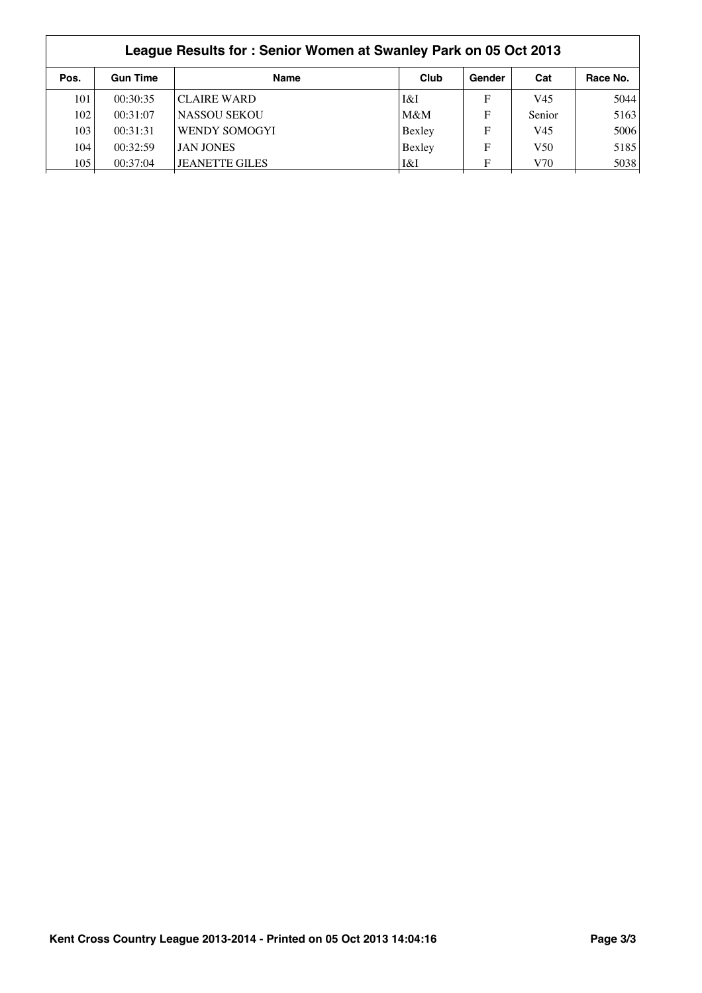|      | League Results for: Senior Women at Swanley Park on 05 Oct 2013 |                       |        |        |                 |          |
|------|-----------------------------------------------------------------|-----------------------|--------|--------|-----------------|----------|
| Pos. | <b>Gun Time</b>                                                 | <b>Name</b>           | Club   | Gender | Cat             | Race No. |
| 101  | 00:30:35                                                        | <b>CLAIRE WARD</b>    | I&I    | F      | V45             | 5044     |
| 102  | 00:31:07                                                        | <b>NASSOU SEKOU</b>   | $M\&M$ | F      | Senior          | 5163     |
| 103  | 00:31:31                                                        | WENDY SOMOGYI         | Bexley | F      | V45             | 5006     |
| 104  | 00:32:59                                                        | <b>JAN JONES</b>      | Bexley | F      | V <sub>50</sub> | 5185     |
| 105  | 00:37:04                                                        | <b>JEANETTE GILES</b> | I&I    | F      | V70             | 5038     |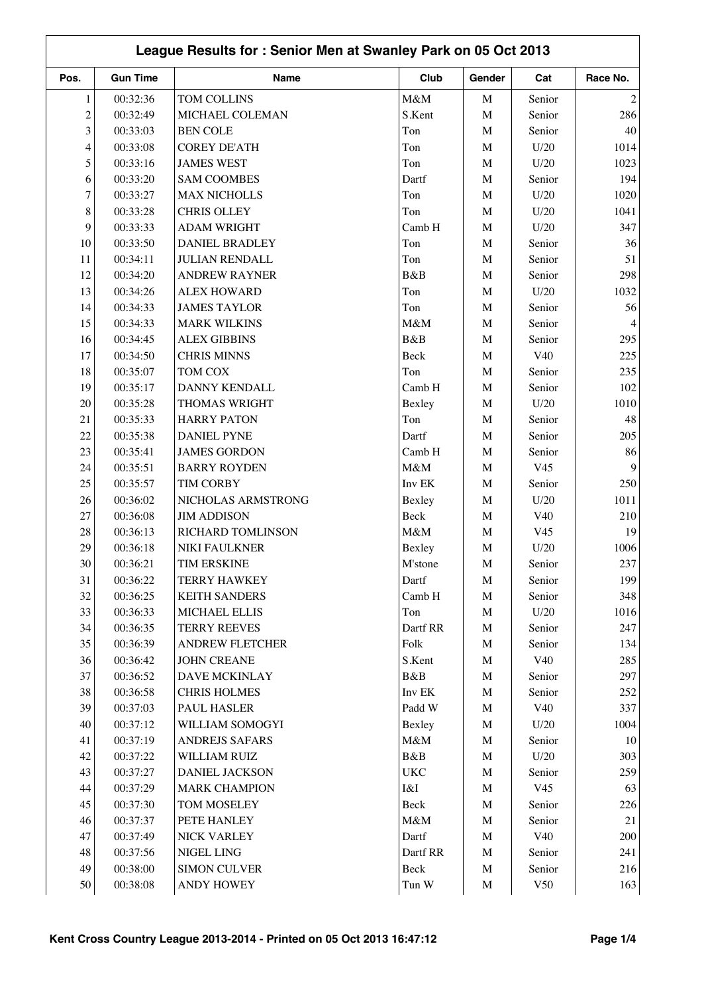|                | League Results for: Senior Men at Swanley Park on 05 Oct 2013 |                       |            |             |                 |                |  |  |
|----------------|---------------------------------------------------------------|-----------------------|------------|-------------|-----------------|----------------|--|--|
| Pos.           | <b>Gun Time</b>                                               | Name                  | Club       | Gender      | Cat             | Race No.       |  |  |
| $\mathbf{1}$   | 00:32:36                                                      | TOM COLLINS           | M&M        | $\mathbf M$ | Senior          | 2              |  |  |
| $\overline{c}$ | 00:32:49                                                      | MICHAEL COLEMAN       | S.Kent     | $\mathbf M$ | Senior          | 286            |  |  |
| 3              | 00:33:03                                                      | <b>BEN COLE</b>       | Ton        | $\mathbf M$ | Senior          | 40             |  |  |
| 4              | 00:33:08                                                      | <b>COREY DE'ATH</b>   | Ton        | $\mathbf M$ | U/20            | 1014           |  |  |
| 5              | 00:33:16                                                      | <b>JAMES WEST</b>     | Ton        | $\mathbf M$ | U/20            | 1023           |  |  |
| 6              | 00:33:20                                                      | <b>SAM COOMBES</b>    | Dartf      | $\mathbf M$ | Senior          | 194            |  |  |
| 7              | 00:33:27                                                      | <b>MAX NICHOLLS</b>   | Ton        | $\mathbf M$ | U/20            | 1020           |  |  |
| 8              | 00:33:28                                                      | <b>CHRIS OLLEY</b>    | Ton        | $\mathbf M$ | U/20            | 1041           |  |  |
| 9              | 00:33:33                                                      | <b>ADAM WRIGHT</b>    | Camb H     | $\mathbf M$ | U/20            | 347            |  |  |
| 10             | 00:33:50                                                      | DANIEL BRADLEY        | Ton        | $\mathbf M$ | Senior          | 36             |  |  |
| 11             | 00:34:11                                                      | <b>JULIAN RENDALL</b> | Ton        | $\mathbf M$ | Senior          | 51             |  |  |
| 12             | 00:34:20                                                      | <b>ANDREW RAYNER</b>  | B&B        | $\mathbf M$ | Senior          | 298            |  |  |
| 13             | 00:34:26                                                      | <b>ALEX HOWARD</b>    | Ton        | $\mathbf M$ | U/20            | 1032           |  |  |
| 14             | 00:34:33                                                      | <b>JAMES TAYLOR</b>   | Ton        | $\mathbf M$ | Senior          | 56             |  |  |
| 15             | 00:34:33                                                      | <b>MARK WILKINS</b>   | M&M        | $\mathbf M$ | Senior          | $\overline{4}$ |  |  |
| 16             | 00:34:45                                                      | <b>ALEX GIBBINS</b>   | B&B        | $\mathbf M$ | Senior          | 295            |  |  |
| 17             | 00:34:50                                                      | <b>CHRIS MINNS</b>    | Beck       | $\mathbf M$ | V40             | 225            |  |  |
| 18             | 00:35:07                                                      | TOM COX               | Ton        | $\mathbf M$ | Senior          | 235            |  |  |
| 19             | 00:35:17                                                      | DANNY KENDALL         | Camb H     | $\mathbf M$ | Senior          | 102            |  |  |
| 20             | 00:35:28                                                      | <b>THOMAS WRIGHT</b>  | Bexley     | $\mathbf M$ | U/20            | 1010           |  |  |
| 21             | 00:35:33                                                      | <b>HARRY PATON</b>    | Ton        | $\mathbf M$ | Senior          | 48             |  |  |
| 22             | 00:35:38                                                      | <b>DANIEL PYNE</b>    | Dartf      | $\mathbf M$ | Senior          | 205            |  |  |
| 23             | 00:35:41                                                      | <b>JAMES GORDON</b>   | Camb H     | $\mathbf M$ | Senior          | 86             |  |  |
| 24             | 00:35:51                                                      | <b>BARRY ROYDEN</b>   | M&M        | $\mathbf M$ | V <sub>45</sub> | 9              |  |  |
| 25             | 00:35:57                                                      | <b>TIM CORBY</b>      | Inv EK     | $\mathbf M$ | Senior          | 250            |  |  |
| 26             | 00:36:02                                                      | NICHOLAS ARMSTRONG    | Bexley     | $\mathbf M$ | U/20            | 1011           |  |  |
| 27             | 00:36:08                                                      | <b>JIM ADDISON</b>    | Beck       | $\mathbf M$ | V40             | 210            |  |  |
| 28             | 00:36:13                                                      | RICHARD TOMLINSON     | M&M        | $\mathbf M$ | V <sub>45</sub> | 19             |  |  |
| 29             | 00:36:18                                                      | <b>NIKI FAULKNER</b>  | Bexley     | $\mathbf M$ | U/20            | 1006           |  |  |
| $30\,$         | 00:36:21                                                      | <b>TIM ERSKINE</b>    | M'stone    | M           | Senior          | 237            |  |  |
| 31             | 00:36:22                                                      | <b>TERRY HAWKEY</b>   | Dartf      | M           | Senior          | 199            |  |  |
| 32             | 00:36:25                                                      | <b>KEITH SANDERS</b>  | Camb H     | $\mathbf M$ | Senior          | 348            |  |  |
| 33             | 00:36:33                                                      | MICHAEL ELLIS         | Ton        | $\mathbf M$ | U/20            | 1016           |  |  |
| 34             | 00:36:35                                                      | <b>TERRY REEVES</b>   | Dartf RR   | $\mathbf M$ | Senior          | 247            |  |  |
| 35             | 00:36:39                                                      | ANDREW FLETCHER       | Folk       | $\mathbf M$ | Senior          | 134            |  |  |
| 36             | 00:36:42                                                      | <b>JOHN CREANE</b>    | S.Kent     | $\mathbf M$ | V40             | 285            |  |  |
| 37             | 00:36:52                                                      | DAVE MCKINLAY         | B&B        | $\mathbf M$ | Senior          | 297            |  |  |
| 38             | 00:36:58                                                      | <b>CHRIS HOLMES</b>   | Inv EK     | $\mathbf M$ | Senior          | 252            |  |  |
| 39             | 00:37:03                                                      | PAUL HASLER           | Padd W     | $\mathbf M$ | V40             | 337            |  |  |
| 40             | 00:37:12                                                      | WILLIAM SOMOGYI       | Bexley     | $\mathbf M$ | U/20            | 1004           |  |  |
| 41             | 00:37:19                                                      | <b>ANDREJS SAFARS</b> | $M\&M$     | $\mathbf M$ | Senior          | 10             |  |  |
| 42             | 00:37:22                                                      | WILLIAM RUIZ          | B&B        | $\mathbf M$ | U/20            | 303            |  |  |
| 43             | 00:37:27                                                      | DANIEL JACKSON        | <b>UKC</b> | $\mathbf M$ | Senior          | 259            |  |  |
| 44             | 00:37:29                                                      | <b>MARK CHAMPION</b>  | I&I        | $\mathbf M$ | V <sub>45</sub> | 63             |  |  |
| 45             | 00:37:30                                                      | TOM MOSELEY           | Beck       | $\mathbf M$ | Senior          | 226            |  |  |
| 46             | 00:37:37                                                      | PETE HANLEY           | $M\&M$     | $\mathbf M$ | Senior          | 21             |  |  |
| 47             | 00:37:49                                                      | <b>NICK VARLEY</b>    | Dartf      | $\mathbf M$ | V40             | 200            |  |  |
| 48             | 00:37:56                                                      | <b>NIGEL LING</b>     | Dartf RR   | $\mathbf M$ | Senior          | 241            |  |  |
| 49             | 00:38:00                                                      | <b>SIMON CULVER</b>   | Beck       | $\mathbf M$ | Senior          | 216            |  |  |
| 50             | 00:38:08                                                      | <b>ANDY HOWEY</b>     | Tun W      | $\mathbf M$ | V50             | 163            |  |  |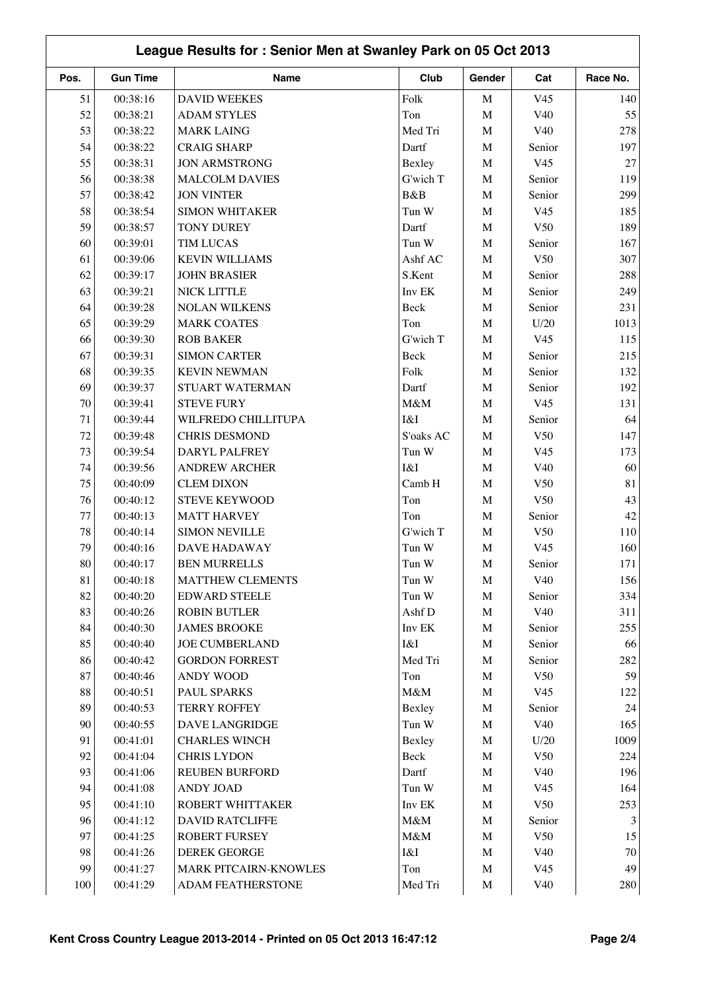| League Results for: Senior Men at Swanley Park on 05 Oct 2013 |                 |                                            |           |             |                        |          |  |
|---------------------------------------------------------------|-----------------|--------------------------------------------|-----------|-------------|------------------------|----------|--|
| Pos.                                                          | <b>Gun Time</b> | <b>Name</b>                                | Club      | Gender      | Cat                    | Race No. |  |
| 51                                                            | 00:38:16        | <b>DAVID WEEKES</b>                        | Folk      | $\mathbf M$ | V <sub>45</sub>        | 140      |  |
| 52                                                            | 00:38:21        | <b>ADAM STYLES</b>                         | Ton       | $\mathbf M$ | V40                    | 55       |  |
| 53                                                            | 00:38:22        | <b>MARK LAING</b>                          | Med Tri   | $\mathbf M$ | V40                    | 278      |  |
| 54                                                            | 00:38:22        | <b>CRAIG SHARP</b>                         | Dartf     | $\mathbf M$ | Senior                 | 197      |  |
| 55                                                            | 00:38:31        | <b>JON ARMSTRONG</b>                       | Bexley    | $\mathbf M$ | V <sub>45</sub>        | 27       |  |
| 56                                                            | 00:38:38        | <b>MALCOLM DAVIES</b>                      | G'wich T  | $\mathbf M$ | Senior                 | 119      |  |
| 57                                                            | 00:38:42        | <b>JON VINTER</b>                          | B&B       | $\mathbf M$ | Senior                 | 299      |  |
| 58                                                            | 00:38:54        | <b>SIMON WHITAKER</b>                      | Tun W     | $\mathbf M$ | V <sub>45</sub>        | 185      |  |
| 59                                                            | 00:38:57        | TONY DUREY                                 | Dartf     | $\mathbf M$ | V50                    | 189      |  |
| 60                                                            | 00:39:01        | <b>TIM LUCAS</b>                           | Tun W     | $\mathbf M$ | Senior                 | 167      |  |
| 61                                                            | 00:39:06        | <b>KEVIN WILLIAMS</b>                      | Ashf AC   | $\mathbf M$ | V <sub>50</sub>        | 307      |  |
| 62                                                            | 00:39:17        | <b>JOHN BRASIER</b>                        | S.Kent    | $\mathbf M$ | Senior                 | 288      |  |
| 63                                                            | 00:39:21        | NICK LITTLE                                | Inv EK    | $\mathbf M$ | Senior                 | 249      |  |
| 64                                                            | 00:39:28        | <b>NOLAN WILKENS</b>                       | Beck      | $\mathbf M$ | Senior                 | 231      |  |
| 65                                                            | 00:39:29        | <b>MARK COATES</b>                         | Ton       | $\mathbf M$ | U/20                   | 1013     |  |
| 66                                                            | 00:39:30        | <b>ROB BAKER</b>                           | G'wich T  | $\mathbf M$ | V <sub>45</sub>        | 115      |  |
| 67                                                            | 00:39:31        | <b>SIMON CARTER</b>                        | Beck      | $\mathbf M$ | Senior                 | 215      |  |
| 68                                                            | 00:39:35        | <b>KEVIN NEWMAN</b>                        | Folk      | $\mathbf M$ | Senior                 | 132      |  |
| 69                                                            | 00:39:37        | STUART WATERMAN                            | Dartf     | $\mathbf M$ | Senior                 | 192      |  |
| 70                                                            | 00:39:41        | <b>STEVE FURY</b>                          | M&M       | $\mathbf M$ | V <sub>45</sub>        | 131      |  |
| 71                                                            | 00:39:44        | WILFREDO CHILLITUPA                        | I&I       | $\mathbf M$ | Senior                 | 64       |  |
| 72                                                            | 00:39:48        | <b>CHRIS DESMOND</b>                       | S'oaks AC | $\mathbf M$ | V50                    | 147      |  |
| 73                                                            | 00:39:54        | DARYL PALFREY                              | Tun W     | $\mathbf M$ | V <sub>45</sub>        | 173      |  |
| 74                                                            | 00:39:56        | <b>ANDREW ARCHER</b>                       | I&I       | $\mathbf M$ | V40                    | 60       |  |
| 75                                                            | 00:40:09        | <b>CLEM DIXON</b>                          | Camb H    | $\mathbf M$ | V <sub>50</sub>        | 81       |  |
| 76                                                            | 00:40:12        | <b>STEVE KEYWOOD</b>                       | Ton       | $\mathbf M$ | V50                    | 43       |  |
| 77                                                            | 00:40:13        |                                            | Ton       | $\mathbf M$ |                        | 42       |  |
|                                                               |                 | <b>MATT HARVEY</b><br><b>SIMON NEVILLE</b> |           |             | Senior                 |          |  |
| 78<br>79                                                      | 00:40:14        |                                            | G'wich T  | $\mathbf M$ | V50<br>V <sub>45</sub> | 110      |  |
|                                                               | 00:40:16        | DAVE HADAWAY                               | Tun W     | $\mathbf M$ |                        | 160      |  |
| 80                                                            | 00:40:17        | <b>BEN MURRELLS</b>                        | Tun W     | M           | Senior                 | 171      |  |
| 81                                                            | 00:40:18        | <b>MATTHEW CLEMENTS</b>                    | Tun W     | M           | V40                    | 156      |  |
| 82                                                            | 00:40:20        | <b>EDWARD STEELE</b>                       | Tun W     | $\mathbf M$ | Senior                 | 334      |  |
| 83                                                            | 00:40:26        | <b>ROBIN BUTLER</b>                        | Ashf D    | $\mathbf M$ | V40                    | 311      |  |
| 84                                                            | 00:40:30        | <b>JAMES BROOKE</b>                        | Inv EK    | $\mathbf M$ | Senior                 | 255      |  |
| 85                                                            | 00:40:40        | <b>JOE CUMBERLAND</b>                      | I&I       | $\mathbf M$ | Senior                 | 66       |  |
| 86                                                            | 00:40:42        | <b>GORDON FORREST</b>                      | Med Tri   | $\mathbf M$ | Senior                 | 282      |  |
| 87                                                            | 00:40:46        | <b>ANDY WOOD</b>                           | Ton       | $\mathbf M$ | V50                    | 59       |  |
| 88                                                            | 00:40:51        | PAUL SPARKS                                | $M\&M$    | $\mathbf M$ | V <sub>45</sub>        | 122      |  |
| 89                                                            | 00:40:53        | <b>TERRY ROFFEY</b>                        | Bexley    | $\mathbf M$ | Senior                 | 24       |  |
| 90                                                            | 00:40:55        | DAVE LANGRIDGE                             | Tun W     | $\mathbf M$ | V40                    | 165      |  |
| 91                                                            | 00:41:01        | <b>CHARLES WINCH</b>                       | Bexley    | $\mathbf M$ | U/20                   | 1009     |  |
| 92                                                            | 00:41:04        | <b>CHRIS LYDON</b>                         | Beck      | $\mathbf M$ | V50                    | 224      |  |
| 93                                                            | 00:41:06        | <b>REUBEN BURFORD</b>                      | Dartf     | $\mathbf M$ | V40                    | 196      |  |
| 94                                                            | 00:41:08        | ANDY JOAD                                  | Tun W     | $\mathbf M$ | V <sub>45</sub>        | 164      |  |
| 95                                                            | 00:41:10        | ROBERT WHITTAKER                           | Inv EK    | $\mathbf M$ | V50                    | 253      |  |
| 96                                                            | 00:41:12        | <b>DAVID RATCLIFFE</b>                     | M&M       | $\mathbf M$ | Senior                 | 3        |  |
| 97                                                            | 00:41:25        | <b>ROBERT FURSEY</b>                       | $M\&M$    | $\mathbf M$ | V50                    | 15       |  |
| 98                                                            | 00:41:26        | DEREK GEORGE                               | I&I       | $\mathbf M$ | V40                    | $70\,$   |  |
| 99                                                            | 00:41:27        | MARK PITCAIRN-KNOWLES                      | Ton       | $\mathbf M$ | V <sub>45</sub>        | 49       |  |
| 100                                                           | 00:41:29        | ADAM FEATHERSTONE                          | Med Tri   | $\mathbf M$ | V40                    | 280      |  |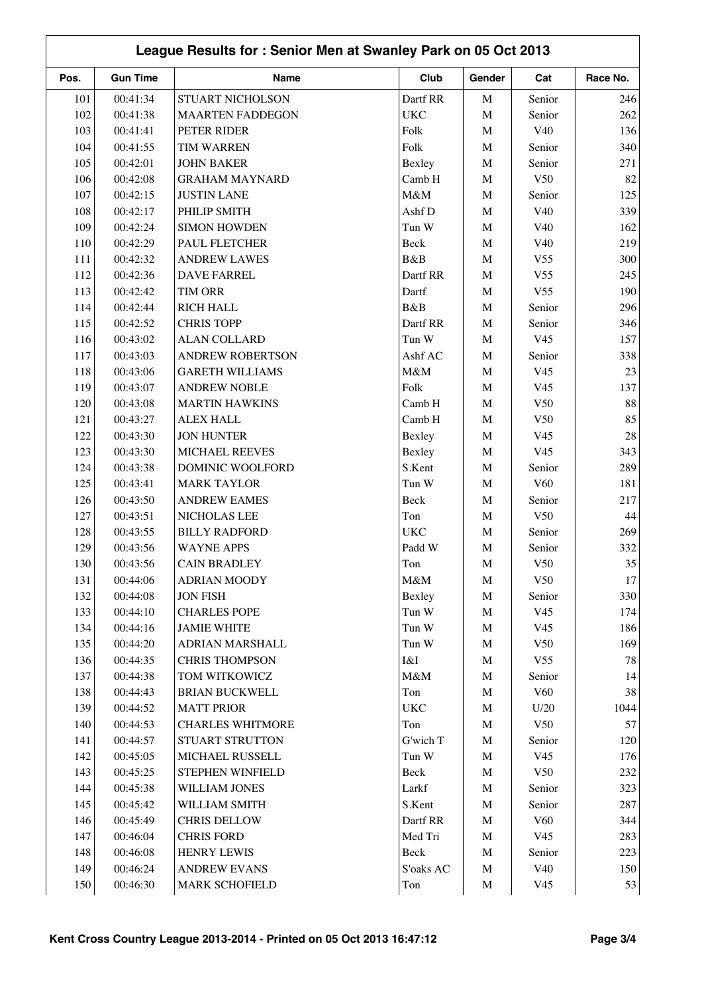| League Results for: Senior Men at Swanley Park on 05 Oct 2013 |                 |                         |              |             |                 |          |
|---------------------------------------------------------------|-----------------|-------------------------|--------------|-------------|-----------------|----------|
| Pos.                                                          | <b>Gun Time</b> | Name                    | Club         | Gender      | Cat             | Race No. |
| 101                                                           | 00:41:34        | STUART NICHOLSON        | Dartf RR     | $\mathbf M$ | Senior          | 246      |
| 102                                                           | 00:41:38        | <b>MAARTEN FADDEGON</b> | <b>UKC</b>   | $\mathbf M$ | Senior          | 262      |
| 103                                                           | 00:41:41        | PETER RIDER             | Folk         | $\mathbf M$ | V40             | 136      |
| 104                                                           | 00:41:55        | <b>TIM WARREN</b>       | Folk         | $\mathbf M$ | Senior          | 340      |
| 105                                                           | 00:42:01        | <b>JOHN BAKER</b>       | Bexley       | $\mathbf M$ | Senior          | 271      |
| 106                                                           | 00:42:08        | <b>GRAHAM MAYNARD</b>   | Camb H       | $\mathbf M$ | V50             | 82       |
| 107                                                           | 00:42:15        | <b>JUSTIN LANE</b>      | $M\&M$       | $\mathbf M$ | Senior          | 125      |
| 108                                                           | 00:42:17        | PHILIP SMITH            | Ashf D       | $\mathbf M$ | V40             | 339      |
| 109                                                           | 00:42:24        | <b>SIMON HOWDEN</b>     | Tun W        | $\mathbf M$ | V40             | 162      |
| 110                                                           | 00:42:29        | PAUL FLETCHER           | Beck         | $\mathbf M$ | V40             | 219      |
| 111                                                           | 00:42:32        | <b>ANDREW LAWES</b>     | B&B          | $\mathbf M$ | V <sub>55</sub> | 300      |
| 112                                                           | 00:42:36        | <b>DAVE FARREL</b>      | Dartf RR     | $\mathbf M$ | V <sub>55</sub> | 245      |
| 113                                                           | 00:42:42        | <b>TIM ORR</b>          | Dartf        | $\mathbf M$ | V <sub>55</sub> | 190      |
| 114                                                           | 00:42:44        | <b>RICH HALL</b>        | B&B          | $\mathbf M$ | Senior          | 296      |
| 115                                                           | 00:42:52        | <b>CHRIS TOPP</b>       | Dartf RR     | $\mathbf M$ | Senior          | 346      |
| 116                                                           | 00:43:02        | <b>ALAN COLLARD</b>     | Tun W        | $\mathbf M$ | V <sub>45</sub> | 157      |
| 117                                                           | 00:43:03        | <b>ANDREW ROBERTSON</b> | Ashf AC      | $\mathbf M$ | Senior          | 338      |
| 118                                                           | 00:43:06        | <b>GARETH WILLIAMS</b>  | $M\&M$       | $\mathbf M$ | V <sub>45</sub> | 23       |
| 119                                                           | 00:43:07        | <b>ANDREW NOBLE</b>     | Folk         | $\mathbf M$ | V <sub>45</sub> | 137      |
| 120                                                           | 00:43:08        | <b>MARTIN HAWKINS</b>   | Camb H       | $\mathbf M$ | V50             | 88       |
| 121                                                           | 00:43:27        | <b>ALEX HALL</b>        | Camb H       | $\mathbf M$ | V50             | 85       |
| 122                                                           | 00:43:30        | <b>JON HUNTER</b>       | Bexley       | $\mathbf M$ | V <sub>45</sub> | 28       |
| 123                                                           | 00:43:30        | MICHAEL REEVES          | Bexley       | $\mathbf M$ | V <sub>45</sub> | 343      |
| 124                                                           | 00:43:38        | DOMINIC WOOLFORD        | S.Kent       | $\mathbf M$ | Senior          | 289      |
| 125                                                           | 00:43:41        | <b>MARK TAYLOR</b>      | Tun W        | $\mathbf M$ | V <sub>60</sub> | 181      |
| 126                                                           | 00:43:50        | <b>ANDREW EAMES</b>     | Beck         | $\mathbf M$ | Senior          | 217      |
| 127                                                           | 00:43:51        | NICHOLAS LEE            | Ton          | M           | V50             | 44       |
| 128                                                           | 00:43:55        | <b>BILLY RADFORD</b>    | <b>UKC</b>   | $\mathbf M$ | Senior          | 269      |
| 129                                                           | 00:43:56        | <b>WAYNE APPS</b>       | Padd W       | $\mathbf M$ | Senior          | 332      |
| 130                                                           | 00:43:56        | <b>CAIN BRADLEY</b>     | Ton          | M           | V50             | 35       |
| 131                                                           | 00:44:06        | <b>ADRIAN MOODY</b>     | M&M          | M           | V50             | 17       |
| 132                                                           | 00:44:08        | <b>JON FISH</b>         | Bexley       | $\mathbf M$ | Senior          | 330      |
| 133                                                           | 00:44:10        | <b>CHARLES POPE</b>     | Tun W        | $\mathbf M$ | V <sub>45</sub> | 174      |
| 134                                                           | 00:44:16        | <b>JAMIE WHITE</b>      | Tun W        | $\mathbf M$ | V <sub>45</sub> | 186      |
| 135                                                           | 00:44:20        | <b>ADRIAN MARSHALL</b>  | Tun W        | $\mathbf M$ | V50             | 169      |
| 136                                                           | 00:44:35        | <b>CHRIS THOMPSON</b>   | I&I          | $\mathbf M$ | V <sub>55</sub> | 78       |
| 137                                                           | 00:44:38        | TOM WITKOWICZ           | M&M          | $\mathbf M$ | Senior          | 14       |
| 138                                                           | 00:44:43        | <b>BRIAN BUCKWELL</b>   | Ton          | $\mathbf M$ | V60             | 38       |
| 139                                                           | 00:44:52        | <b>MATT PRIOR</b>       | $_{\rm UKC}$ | $\mathbf M$ | U/20            | 1044     |
| 140                                                           | 00:44:53        | <b>CHARLES WHITMORE</b> | Ton          | $\mathbf M$ | V50             | 57       |
| 141                                                           | 00:44:57        | STUART STRUTTON         | G'wich T     | $\mathbf M$ | Senior          | 120      |
| 142                                                           | 00:45:05        | MICHAEL RUSSELL         | Tun W        | $\mathbf M$ | V <sub>45</sub> | 176      |
| 143                                                           | 00:45:25        | STEPHEN WINFIELD        | Beck         | $\mathbf M$ | V50             | 232      |
| 144                                                           | 00:45:38        | <b>WILLIAM JONES</b>    | Larkf        | $\mathbf M$ | Senior          | 323      |
| 145                                                           | 00:45:42        | WILLIAM SMITH           | S.Kent       | $\mathbf M$ | Senior          | 287      |
| 146                                                           | 00:45:49        | <b>CHRIS DELLOW</b>     | Dartf RR     | $\mathbf M$ | V60             | 344      |
| 147                                                           | 00:46:04        | <b>CHRIS FORD</b>       | Med Tri      | $\mathbf M$ | V <sub>45</sub> | 283      |
| 148                                                           | 00:46:08        | <b>HENRY LEWIS</b>      | Beck         | $\mathbf M$ | Senior          | 223      |
| 149                                                           | 00:46:24        | <b>ANDREW EVANS</b>     | S'oaks AC    | $\mathbf M$ | V40             | 150      |
| 150                                                           | 00:46:30        | <b>MARK SCHOFIELD</b>   | Ton          | $\mathbf M$ | V <sub>45</sub> | 53       |